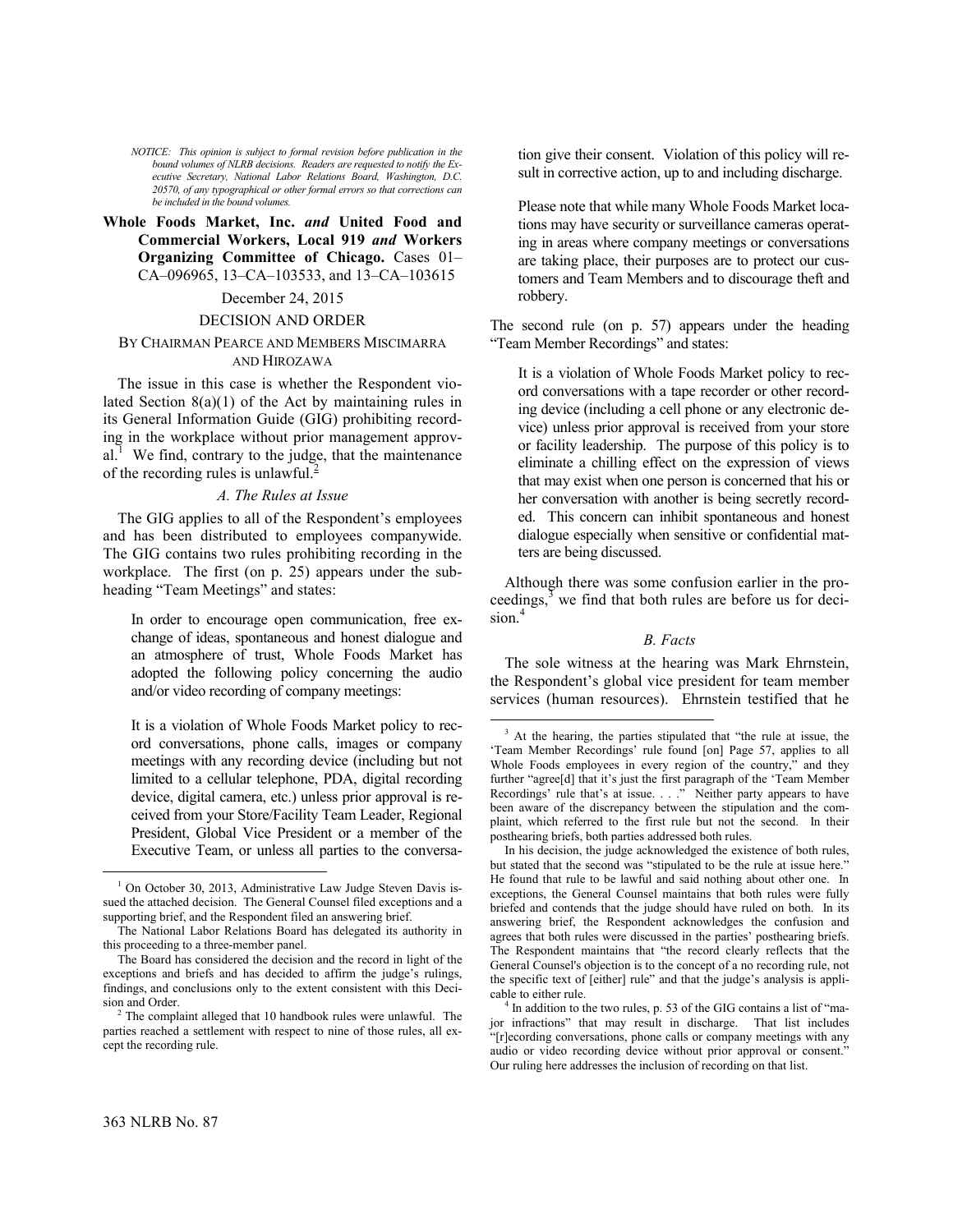*NOTICE: This opinion is subject to formal revision before publication in the bound volumes of NLRB decisions. Readers are requested to notify the Executive Secretary, National Labor Relations Board, Washington, D.C. 20570, of any typographical or other formal errors so that corrections can be included in the bound volumes.*

# **Whole Foods Market, Inc.** *and* **United Food and Commercial Workers, Local 919** *and* **Workers Organizing Committee of Chicago.** Cases 01– CA–096965, 13–CA–103533, and 13–CA–103615

## December 24, 2015

## DECISION AND ORDER

## BY CHAIRMAN PEARCE AND MEMBERS MISCIMARRA AND HIROZAWA

The issue in this case is whether the Respondent violated Section 8(a)(1) of the Act by maintaining rules in its General Information Guide (GIG) prohibiting recording in the workplace without prior management approv- $al<sup>1</sup>$  $al<sup>1</sup>$  $al<sup>1</sup>$  We find, contrary to the judge, that the maintenance of the recording rules is unlawful.<sup>[2](#page-0-1)</sup>

## *A. The Rules at Issue*

The GIG applies to all of the Respondent's employees and has been distributed to employees companywide. The GIG contains two rules prohibiting recording in the workplace. The first (on p. 25) appears under the subheading "Team Meetings" and states:

In order to encourage open communication, free exchange of ideas, spontaneous and honest dialogue and an atmosphere of trust, Whole Foods Market has adopted the following policy concerning the audio and/or video recording of company meetings:

<span id="page-0-2"></span>It is a violation of Whole Foods Market policy to record conversations, phone calls, images or company meetings with any recording device (including but not limited to a cellular telephone, PDA, digital recording device, digital camera, etc.) unless prior approval is received from your Store/Facility Team Leader, Regional President, Global Vice President or a member of the Executive Team, or unless all parties to the conversation give their consent. Violation of this policy will result in corrective action, up to and including discharge.

Please note that while many Whole Foods Market locations may have security or surveillance cameras operating in areas where company meetings or conversations are taking place, their purposes are to protect our customers and Team Members and to discourage theft and robbery.

The second rule (on p. 57) appears under the heading "Team Member Recordings" and states:

It is a violation of Whole Foods Market policy to record conversations with a tape recorder or other recording device (including a cell phone or any electronic device) unless prior approval is received from your store or facility leadership. The purpose of this policy is to eliminate a chilling effect on the expression of views that may exist when one person is concerned that his or her conversation with another is being secretly recorded. This concern can inhibit spontaneous and honest dialogue especially when sensitive or confidential matters are being discussed.

Although there was some confusion earlier in the proceedings, $3$  we find that both rules are before us for deci-sion.<sup>[4](#page-0-3)</sup>

## *B. Facts*

The sole witness at the hearing was Mark Ehrnstein, the Respondent's global vice president for team member services (human resources). Ehrnstein testified that he

 $\overline{a}$ 

1

<span id="page-0-0"></span><sup>1</sup> On October 30, 2013, Administrative Law Judge Steven Davis issued the attached decision. The General Counsel filed exceptions and a supporting brief, and the Respondent filed an answering brief.

The National Labor Relations Board has delegated its authority in this proceeding to a three-member panel.

The Board has considered the decision and the record in light of the exceptions and briefs and has decided to affirm the judge's rulings, findings, and conclusions only to the extent consistent with this Decision and Order.

<span id="page-0-3"></span><span id="page-0-1"></span>The complaint alleged that 10 handbook rules were unlawful. The parties reached a settlement with respect to nine of those rules, all except the recording rule.

<sup>&</sup>lt;sup>3</sup> At the hearing, the parties stipulated that "the rule at issue, the 'Team Member Recordings' rule found [on] Page 57, applies to all Whole Foods employees in every region of the country," and they further "agree[d] that it's just the first paragraph of the 'Team Member Recordings' rule that's at issue. . . ." Neither party appears to have been aware of the discrepancy between the stipulation and the complaint, which referred to the first rule but not the second. In their posthearing briefs, both parties addressed both rules.

In his decision, the judge acknowledged the existence of both rules. but stated that the second was "stipulated to be the rule at issue here." He found that rule to be lawful and said nothing about other one. In exceptions, the General Counsel maintains that both rules were fully briefed and contends that the judge should have ruled on both. In its answering brief, the Respondent acknowledges the confusion and agrees that both rules were discussed in the parties' posthearing briefs. The Respondent maintains that "the record clearly reflects that the General Counsel's objection is to the concept of a no recording rule, not the specific text of [either] rule" and that the judge's analysis is applicable to either rule.

<sup>4</sup> In addition to the two rules, p. 53 of the GIG contains a list of "major infractions" that may result in discharge. That list includes "[r]ecording conversations, phone calls or company meetings with any audio or video recording device without prior approval or consent." Our ruling here addresses the inclusion of recording on that list.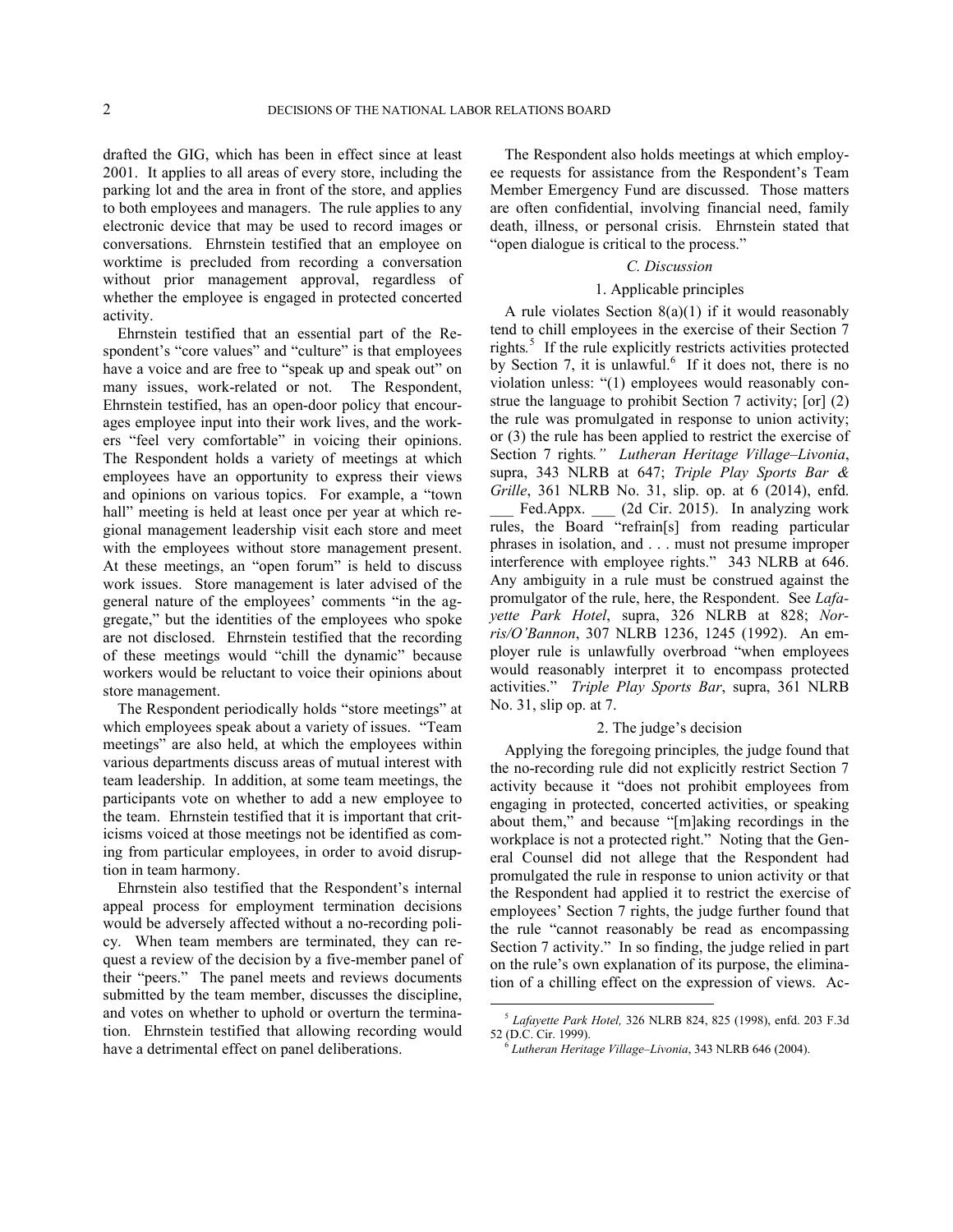drafted the GIG, which has been in effect since at least 2001. It applies to all areas of every store, including the parking lot and the area in front of the store, and applies to both employees and managers. The rule applies to any electronic device that may be used to record images or conversations. Ehrnstein testified that an employee on worktime is precluded from recording a conversation without prior management approval, regardless of whether the employee is engaged in protected concerted activity.

Ehrnstein testified that an essential part of the Respondent's "core values" and "culture" is that employees have a voice and are free to "speak up and speak out" on many issues, work-related or not. The Respondent, Ehrnstein testified, has an open-door policy that encourages employee input into their work lives, and the workers "feel very comfortable" in voicing their opinions. The Respondent holds a variety of meetings at which employees have an opportunity to express their views and opinions on various topics. For example, a "town hall" meeting is held at least once per year at which regional management leadership visit each store and meet with the employees without store management present. At these meetings, an "open forum" is held to discuss work issues. Store management is later advised of the general nature of the employees' comments "in the aggregate," but the identities of the employees who spoke are not disclosed. Ehrnstein testified that the recording of these meetings would "chill the dynamic" because workers would be reluctant to voice their opinions about store management.

The Respondent periodically holds "store meetings" at which employees speak about a variety of issues. "Team meetings" are also held, at which the employees within various departments discuss areas of mutual interest with team leadership. In addition, at some team meetings, the participants vote on whether to add a new employee to the team. Ehrnstein testified that it is important that criticisms voiced at those meetings not be identified as coming from particular employees, in order to avoid disruption in team harmony.

<span id="page-1-1"></span><span id="page-1-0"></span>Ehrnstein also testified that the Respondent's internal appeal process for employment termination decisions would be adversely affected without a no-recording policy. When team members are terminated, they can request a review of the decision by a five-member panel of their "peers." The panel meets and reviews documents submitted by the team member, discusses the discipline, and votes on whether to uphold or overturn the termination. Ehrnstein testified that allowing recording would have a detrimental effect on panel deliberations.

The Respondent also holds meetings at which employee requests for assistance from the Respondent's Team Member Emergency Fund are discussed. Those matters are often confidential, involving financial need, family death, illness, or personal crisis. Ehrnstein stated that "open dialogue is critical to the process."

## *C. Discussion*

## 1. Applicable principles

A rule violates Section  $8(a)(1)$  if it would reasonably tend to chill employees in the exercise of their Section 7 rights*.* [5](#page-1-0) If the rule explicitly restricts activities protected by Section 7, it is unlawful.<sup>[6](#page-1-1)</sup> If it does not, there is no violation unless: "(1) employees would reasonably construe the language to prohibit Section 7 activity; [or] (2) the rule was promulgated in response to union activity; or (3) the rule has been applied to restrict the exercise of Section 7 rights*." Lutheran Heritage Village–Livonia*, supra, 343 NLRB at 647; *Triple Play Sports Bar & Grille*, 361 NLRB No. 31, slip. op. at 6 (2014), enfd. Fed.Appx. (2d Cir. 2015). In analyzing work rules, the Board "refrain[s] from reading particular phrases in isolation, and . . . must not presume improper interference with employee rights." 343 NLRB at 646. Any ambiguity in a rule must be construed against the promulgator of the rule, here, the Respondent. See *Lafayette Park Hotel*, supra, 326 NLRB at 828; *Norris/O'Bannon*, 307 NLRB 1236, 1245 (1992). An employer rule is unlawfully overbroad "when employees would reasonably interpret it to encompass protected activities." *Triple Play Sports Bar*, supra, 361 NLRB No. 31, slip op. at 7.

## 2. The judge's decision

Applying the foregoing principles*,* the judge found that the no-recording rule did not explicitly restrict Section 7 activity because it "does not prohibit employees from engaging in protected, concerted activities, or speaking about them," and because "[m]aking recordings in the workplace is not a protected right." Noting that the General Counsel did not allege that the Respondent had promulgated the rule in response to union activity or that the Respondent had applied it to restrict the exercise of employees' Section 7 rights, the judge further found that the rule "cannot reasonably be read as encompassing Section 7 activity." In so finding, the judge relied in part on the rule's own explanation of its purpose, the elimination of a chilling effect on the expression of views. Ac-

 $\overline{a}$ 

<sup>5</sup> *Lafayette Park Hotel,* 326 NLRB 824, 825 (1998), enfd. 203 F.3d 52 (D.C. Cir. 1999).

<sup>6</sup> *Lutheran Heritage Village–Livonia*, 343 NLRB 646 (2004).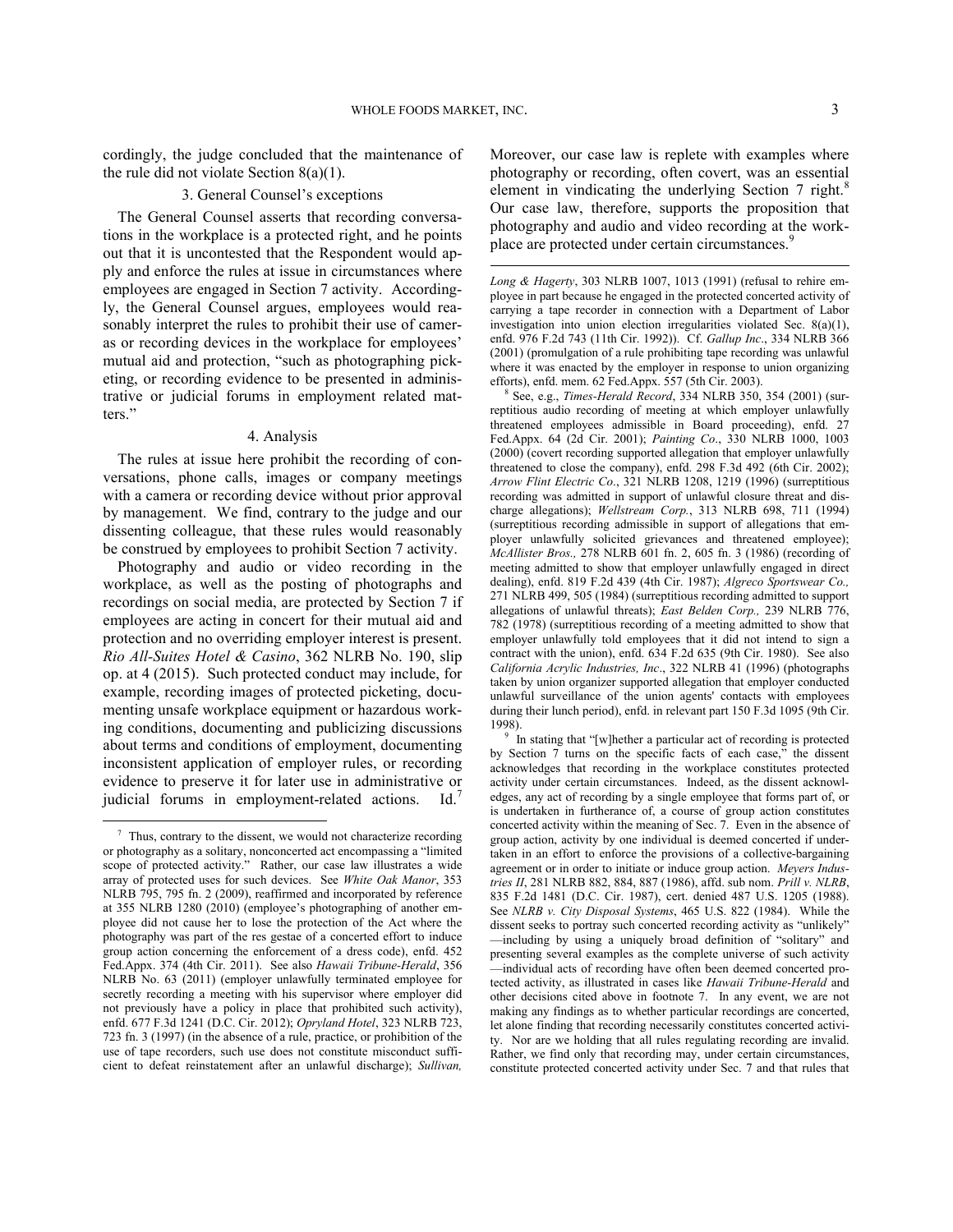$\overline{a}$ 

cordingly, the judge concluded that the maintenance of the rule did not violate Section 8(a)(1).

## 3. General Counsel's exceptions

The General Counsel asserts that recording conversations in the workplace is a protected right, and he points out that it is uncontested that the Respondent would apply and enforce the rules at issue in circumstances where employees are engaged in Section 7 activity. Accordingly, the General Counsel argues, employees would reasonably interpret the rules to prohibit their use of cameras or recording devices in the workplace for employees' mutual aid and protection, "such as photographing picketing, or recording evidence to be presented in administrative or judicial forums in employment related matters."

## 4. Analysis

<span id="page-2-1"></span>The rules at issue here prohibit the recording of conversations, phone calls, images or company meetings with a camera or recording device without prior approval by management. We find, contrary to the judge and our dissenting colleague, that these rules would reasonably be construed by employees to prohibit Section 7 activity.

Photography and audio or video recording in the workplace, as well as the posting of photographs and recordings on social media, are protected by Section 7 if employees are acting in concert for their mutual aid and protection and no overriding employer interest is present. *Rio All-Suites Hotel & Casino*, 362 NLRB No. 190, slip op. at 4 (2015). Such protected conduct may include, for example, recording images of protected picketing, documenting unsafe workplace equipment or hazardous working conditions, documenting and publicizing discussions about terms and conditions of employment, documenting inconsistent application of employer rules, or recording evidence to preserve it for later use in administrative or judicial forums in employment-related actions. Id.<sup>[7](#page-2-0)</sup>

<span id="page-2-2"></span>1

Moreover, our case law is replete with examples where photography or recording, often covert, was an essential element in vindicating the underlying Section 7 right.<sup>[8](#page-2-1)</sup> Our case law, therefore, supports the proposition that photography and audio and video recording at the work-place are protected under certain circumstances.<sup>[9](#page-2-2)</sup>

*Long & Hagerty*, 303 NLRB 1007, 1013 (1991) (refusal to rehire employee in part because he engaged in the protected concerted activity of carrying a tape recorder in connection with a Department of Labor investigation into union election irregularities violated Sec. 8(a)(1), enfd. 976 F.2d 743 (11th Cir. 1992)). Cf. *Gallup Inc*., 334 NLRB 366 (2001) (promulgation of a rule prohibiting tape recording was unlawful where it was enacted by the employer in response to union organizing efforts), enfd. mem. 62 Fed.Appx. 557 (5th Cir. 2003).

8 See, e.g., *Times-Herald Record*, 334 NLRB 350, 354 (2001) (surreptitious audio recording of meeting at which employer unlawfully threatened employees admissible in Board proceeding), enfd. 27 Fed.Appx. 64 (2d Cir. 2001); *Painting Co*., 330 NLRB 1000, 1003 (2000) (covert recording supported allegation that employer unlawfully threatened to close the company), enfd. 298 F.3d 492 (6th Cir. 2002); *Arrow Flint Electric Co*., 321 NLRB 1208, 1219 (1996) (surreptitious recording was admitted in support of unlawful closure threat and discharge allegations); *Wellstream Corp.*, 313 NLRB 698, 711 (1994) (surreptitious recording admissible in support of allegations that employer unlawfully solicited grievances and threatened employee); *McAllister Bros.,* 278 NLRB 601 fn. 2, 605 fn. 3 (1986) (recording of meeting admitted to show that employer unlawfully engaged in direct dealing), enfd. [819 F.2d 439 \(4th Cir. 1987\)](https://web2.westlaw.com/find/default.wl?mt=49&db=350&tc=-1&rp=%2ffind%2fdefault.wl&findtype=Y&ordoc=2001554573&serialnum=1987064058&vr=2.0&fn=_top&sv=Split&tf=-1&pbc=2F20F37E&rs=WLW15.01); *[Algreco Sportswear Co.,](https://web2.westlaw.com/find/default.wl?mt=49&db=0001417&tc=-1&rp=%2ffind%2fdefault.wl&findtype=Y&ordoc=2001554573&serialnum=1984020515&vr=2.0&fn=_top&sv=Split&tf=-1&referencepositiontype=S&pbc=2F20F37E&referenceposition=505&rs=WLW15.01)* [271 NLRB 499, 505 \(1984\)](https://web2.westlaw.com/find/default.wl?mt=49&db=0001417&tc=-1&rp=%2ffind%2fdefault.wl&findtype=Y&ordoc=2001554573&serialnum=1984020515&vr=2.0&fn=_top&sv=Split&tf=-1&referencepositiontype=S&pbc=2F20F37E&referenceposition=505&rs=WLW15.01) (surreptitious recording admitted to support allegations of unlawful threats); *East Belden Corp.,* 239 NLRB 776, 782 (1978) (surreptitious recording of a meeting admitted to show that employer unlawfully told employees that it did not intend to sign a contract with the union), enfd. [634 F.2d 635 \(9th Cir. 1980\).](https://web2.westlaw.com/find/default.wl?mt=49&db=350&tc=-1&rp=%2ffind%2fdefault.wl&findtype=Y&ordoc=2001554573&serialnum=1980229281&vr=2.0&fn=_top&sv=Split&tf=-1&pbc=2F20F37E&rs=WLW15.01) See also *California Acrylic Industries, Inc*., 322 NLRB 41 (1996) (photographs taken by union organizer supported allegation that employer conducted unlawful surveillance of the union agents' contacts with employees during their lunch period), enfd. in relevant part 150 F.3d 1095 (9th Cir. 1998).

<sup>9</sup> In stating that "[w]hether a particular act of recording is protected by Section 7 turns on the specific facts of each case," the dissent acknowledges that recording in the workplace constitutes protected activity under certain circumstances. Indeed, as the dissent acknowledges, any act of recording by a single employee that forms part of, or is undertaken in furtherance of, a course of group action constitutes concerted activity within the meaning of Sec. 7. Even in the absence of group action, activity by one individual is deemed concerted if undertaken in an effort to enforce the provisions of a collective-bargaining agreement or in order to initiate or induce group action. *Meyers Industries II*, 281 NLRB 882, 884, 887 (1986), affd. sub nom. *Prill v. NLRB*, 835 F.2d 1481 (D.C. Cir. 1987), cert. denied 487 U.S. 1205 (1988). See *NLRB v. City Disposal Systems*, 465 U.S. 822 (1984). While the dissent seeks to portray such concerted recording activity as "unlikely" —including by using a uniquely broad definition of "solitary" and presenting several examples as the complete universe of such activity —individual acts of recording have often been deemed concerted protected activity, as illustrated in cases like *Hawaii Tribune-Herald* and other decisions cited above in footnote 7. In any event, we are not making any findings as to whether particular recordings are concerted, let alone finding that recording necessarily constitutes concerted activity. Nor are we holding that all rules regulating recording are invalid. Rather, we find only that recording may, under certain circumstances, constitute protected concerted activity under Sec. 7 and that rules that

<span id="page-2-0"></span> $\frac{7}{7}$  Thus, contrary to the dissent, we would not characterize recording or photography as a solitary, nonconcerted act encompassing a "limited scope of protected activity." Rather, our case law illustrates a wide array of protected uses for such devices. See *White Oak Manor*, 353 NLRB 795, 795 fn. 2 (2009), reaffirmed and incorporated by reference at 355 NLRB 1280 (2010) (employee's photographing of another employee did not cause her to lose the protection of the Act where the photography was part of the res gestae of a concerted effort to induce group action concerning the enforcement of a dress code), enfd. 452 Fed.Appx. 374 (4th Cir. 2011). See also *Hawaii Tribune-Herald*, 356 NLRB No. 63 (2011) (employer unlawfully terminated employee for secretly recording a meeting with his supervisor where employer did not previously have a policy in place that prohibited such activity), enfd. 677 F.3d 1241 (D.C. Cir. 2012); *Opryland Hotel*, 323 NLRB 723, 723 fn. 3 (1997) (in the absence of a rule, practice, or prohibition of the use of tape recorders, such use does not constitute misconduct sufficient to defeat reinstatement after an unlawful discharge); *Sullivan,*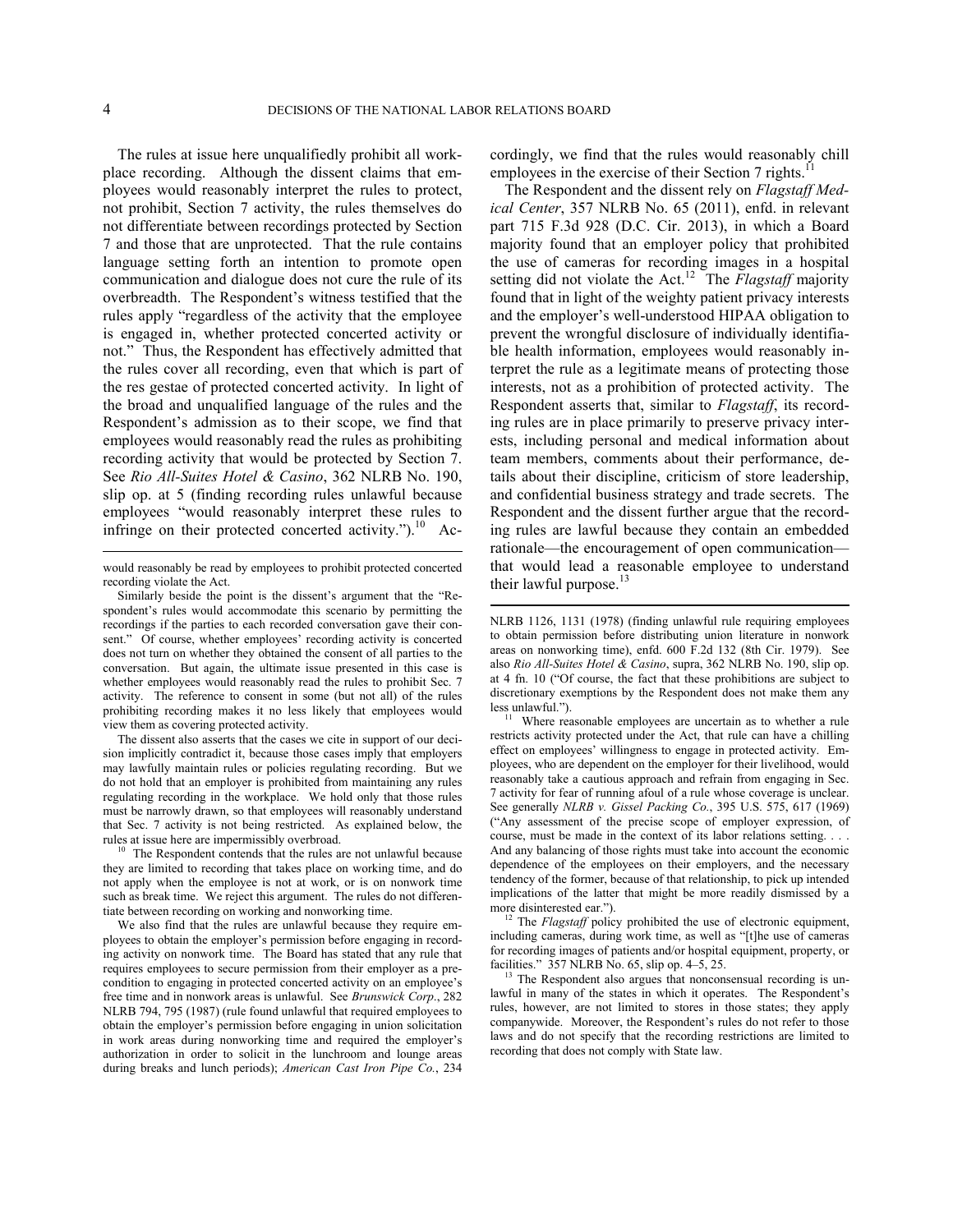$\overline{a}$ 

 $\overline{a}$ 

The rules at issue here unqualifiedly prohibit all workplace recording. Although the dissent claims that employees would reasonably interpret the rules to protect, not prohibit, Section 7 activity, the rules themselves do not differentiate between recordings protected by Section 7 and those that are unprotected. That the rule contains language setting forth an intention to promote open communication and dialogue does not cure the rule of its overbreadth. The Respondent's witness testified that the rules apply "regardless of the activity that the employee is engaged in, whether protected concerted activity or not." Thus, the Respondent has effectively admitted that the rules cover all recording, even that which is part of the res gestae of protected concerted activity. In light of the broad and unqualified language of the rules and the Respondent's admission as to their scope, we find that employees would reasonably read the rules as prohibiting recording activity that would be protected by Section 7. See *Rio All-Suites Hotel & Casino*, 362 NLRB No. 190, slip op. at 5 (finding recording rules unlawful because employees "would reasonably interpret these rules to infringe on their protected concerted activity."). $^{10}$  $^{10}$  $^{10}$  Ac-

<span id="page-3-0"></span><sup>10</sup> The Respondent contends that the rules are not unlawful because they are limited to recording that takes place on working time, and do not apply when the employee is not at work, or is on nonwork time such as break time. We reject this argument. The rules do not differentiate between recording on working and nonworking time.

<span id="page-3-3"></span><span id="page-3-2"></span>We also find that the rules are unlawful because they require employees to obtain the employer's permission before engaging in recording activity on nonwork time. The Board has stated that any rule that requires employees to secure permission from their employer as a precondition to engaging in protected concerted activity on an employee's free time and in nonwork areas is unlawful. See *Brunswick Corp*., 282 NLRB 794, 795 (1987) (rule found unlawful that required employees to obtain the employer's permission before engaging in union solicitation in work areas during nonworking time and required the employer's authorization in order to solicit in the lunchroom and lounge areas during breaks and lunch periods); *American Cast Iron Pipe Co.*, 234

cordingly, we find that the rules would reasonably chill employees in the exercise of their Section 7 rights.<sup>1</sup>

The Respondent and the dissent rely on *Flagstaff Medical Center*, 357 NLRB No. 65 (2011), enfd. in relevant part 715 F.3d 928 (D.C. Cir. 2013), in which a Board majority found that an employer policy that prohibited the use of cameras for recording images in a hospital setting did not violate the Act.<sup>[12](#page-3-2)</sup> The *Flagstaff* majority found that in light of the weighty patient privacy interests and the employer's well-understood HIPAA obligation to prevent the wrongful disclosure of individually identifiable health information, employees would reasonably interpret the rule as a legitimate means of protecting those interests, not as a prohibition of protected activity. The Respondent asserts that, similar to *Flagstaff*, its recording rules are in place primarily to preserve privacy interests, including personal and medical information about team members, comments about their performance, details about their discipline, criticism of store leadership, and confidential business strategy and trade secrets. The Respondent and the dissent further argue that the recording rules are lawful because they contain an embedded rationale—the encouragement of open communication that would lead a reasonable employee to understand their lawful purpose. $^{13}$  $^{13}$  $^{13}$ 

<sup>12</sup> The *Flagstaff* policy prohibited the use of electronic equipment, including cameras, during work time, as well as "[t]he use of cameras for recording images of patients and/or hospital equipment, property, or facilities." 357 NLRB No. 65, slip op. 4–5, 25.

<sup>13</sup> The Respondent also argues that nonconsensual recording is unlawful in many of the states in which it operates. The Respondent's rules, however, are not limited to stores in those states; they apply companywide. Moreover, the Respondent's rules do not refer to those laws and do not specify that the recording restrictions are limited to recording that does not comply with State law.

would reasonably be read by employees to prohibit protected concerted recording violate the Act.

Similarly beside the point is the dissent's argument that the "Respondent's rules would accommodate this scenario by permitting the recordings if the parties to each recorded conversation gave their consent." Of course, whether employees' recording activity is concerted does not turn on whether they obtained the consent of all parties to the conversation. But again, the ultimate issue presented in this case is whether employees would reasonably read the rules to prohibit Sec. 7 activity. The reference to consent in some (but not all) of the rules prohibiting recording makes it no less likely that employees would view them as covering protected activity.

<span id="page-3-1"></span>The dissent also asserts that the cases we cite in support of our decision implicitly contradict it, because those cases imply that employers may lawfully maintain rules or policies regulating recording. But we do not hold that an employer is prohibited from maintaining any rules regulating recording in the workplace. We hold only that those rules must be narrowly drawn, so that employees will reasonably understand that Sec. 7 activity is not being restricted. As explained below, the rules at issue here are impermissibly overbroad.

NLRB 1126, 1131 (1978) (finding unlawful rule requiring employees to obtain permission before distributing union literature in nonwork areas on nonworking time), enfd. 600 F.2d 132 (8th Cir. 1979). See also *Rio All-Suites Hotel & Casino*, supra, 362 NLRB No. 190, slip op. at 4 fn. 10 ("Of course, the fact that these prohibitions are subject to discretionary exemptions by the Respondent does not make them any less unlawful.").

Where reasonable employees are uncertain as to whether a rule restricts activity protected under the Act, that rule can have a chilling effect on employees' willingness to engage in protected activity. Employees, who are dependent on the employer for their livelihood, would reasonably take a cautious approach and refrain from engaging in Sec. 7 activity for fear of running afoul of a rule whose coverage is unclear. See generally *NLRB v. Gissel Packing Co.*, 395 U.S. 575, 617 (1969) ("Any assessment of the precise scope of employer expression, of course, must be made in the context of its labor relations setting. . . . And any balancing of those rights must take into account the economic dependence of the employees on their employers, and the necessary tendency of the former, because of that relationship, to pick up intended implications of the latter that might be more readily dismissed by a more disinterested ear.").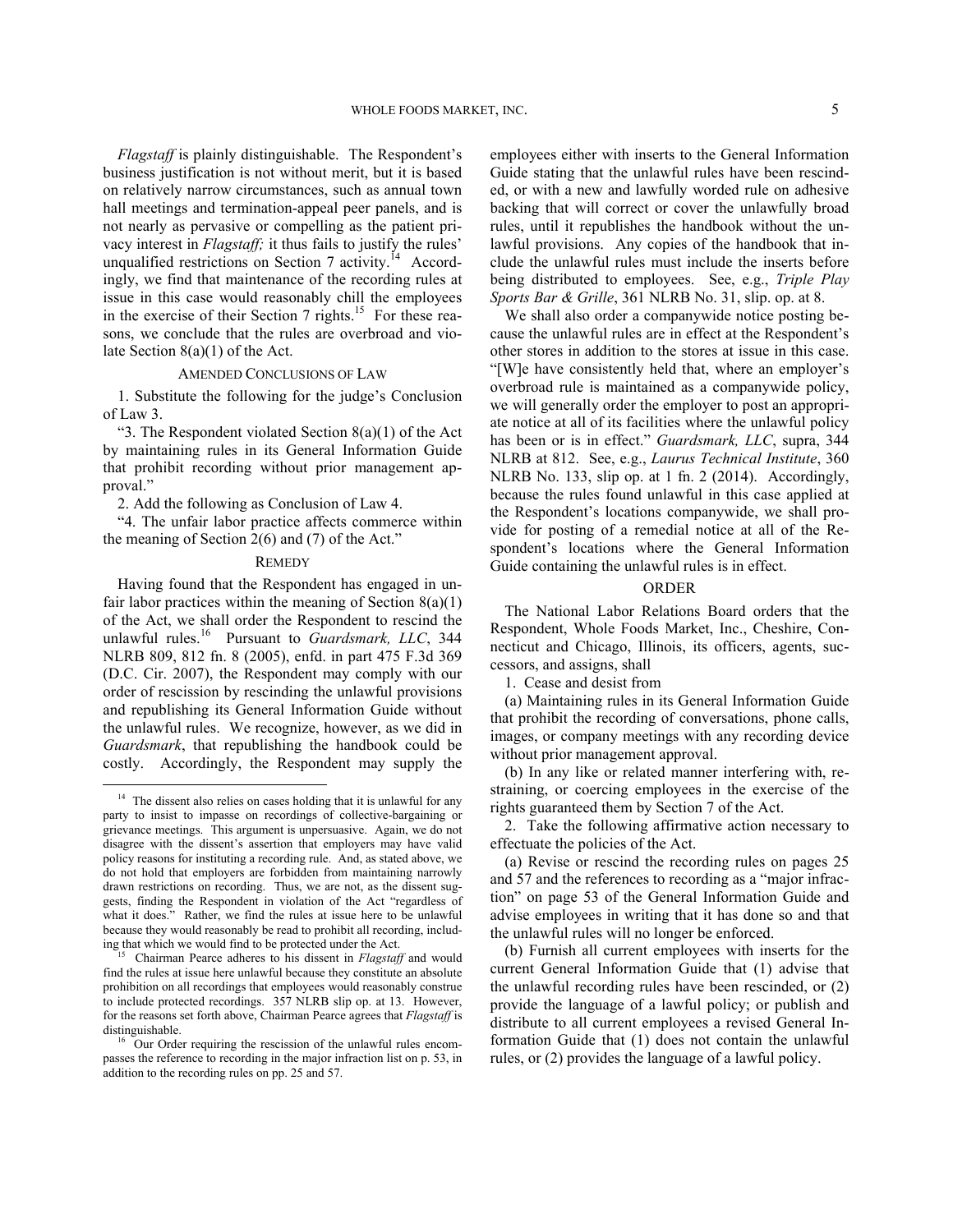*Flagstaff* is plainly distinguishable. The Respondent's business justification is not without merit, but it is based on relatively narrow circumstances, such as annual town hall meetings and termination-appeal peer panels, and is not nearly as pervasive or compelling as the patient privacy interest in *Flagstaff;* it thus fails to justify the rules' unqualified restrictions on Section 7 activity.<sup> $14$ </sup> Accordingly, we find that maintenance of the recording rules at issue in this case would reasonably chill the employees in the exercise of their Section 7 rights.<sup>[15](#page-4-1)</sup> For these reasons, we conclude that the rules are overbroad and violate Section 8(a)(1) of the Act.

## AMENDED CONCLUSIONS OF LAW

1. Substitute the following for the judge's Conclusion of Law 3.

"3. The Respondent violated Section  $8(a)(1)$  of the Act by maintaining rules in its General Information Guide that prohibit recording without prior management approval."

2. Add the following as Conclusion of Law 4.

"4. The unfair labor practice affects commerce within the meaning of Section 2(6) and (7) of the Act."

## **REMEDY**

Having found that the Respondent has engaged in unfair labor practices within the meaning of Section  $8(a)(1)$ of the Act, we shall order the Respondent to rescind the unlawful rules.[16](#page-4-2) Pursuant to *Guardsmark, LLC*, 344 NLRB 809, 812 fn. 8 (2005), enfd. in part 475 F.3d 369 (D.C. Cir. 2007), the Respondent may comply with our order of rescission by rescinding the unlawful provisions and republishing its General Information Guide without the unlawful rules. We recognize, however, as we did in *Guardsmark*, that republishing the handbook could be costly. Accordingly, the Respondent may supply the

<u>.</u>

employees either with inserts to the General Information Guide stating that the unlawful rules have been rescinded, or with a new and lawfully worded rule on adhesive backing that will correct or cover the unlawfully broad rules, until it republishes the handbook without the unlawful provisions. Any copies of the handbook that include the unlawful rules must include the inserts before being distributed to employees. See, e.g., *Triple Play Sports Bar & Grille*, 361 NLRB No. 31, slip. op. at 8.

We shall also order a companywide notice posting because the unlawful rules are in effect at the Respondent's other stores in addition to the stores at issue in this case. "[W]e have consistently held that, where an employer's overbroad rule is maintained as a companywide policy, we will generally order the employer to post an appropriate notice at all of its facilities where the unlawful policy has been or is in effect." *Guardsmark, LLC*, supra, 344 NLRB at 812. See, e.g., *Laurus Technical Institute*, 360 NLRB No. 133, slip op. at 1 fn. 2 (2014). Accordingly, because the rules found unlawful in this case applied at the Respondent's locations companywide, we shall provide for posting of a remedial notice at all of the Respondent's locations where the General Information Guide containing the unlawful rules is in effect.

## ORDER

The National Labor Relations Board orders that the Respondent, Whole Foods Market, Inc., Cheshire, Connecticut and Chicago, Illinois, its officers, agents, successors, and assigns, shall

1. Cease and desist from

(a) Maintaining rules in its General Information Guide that prohibit the recording of conversations, phone calls, images, or company meetings with any recording device without prior management approval.

(b) In any like or related manner interfering with, restraining, or coercing employees in the exercise of the rights guaranteed them by Section 7 of the Act.

2. Take the following affirmative action necessary to effectuate the policies of the Act.

(a) Revise or rescind the recording rules on pages 25 and 57 and the references to recording as a "major infraction" on page 53 of the General Information Guide and advise employees in writing that it has done so and that the unlawful rules will no longer be enforced.

(b) Furnish all current employees with inserts for the current General Information Guide that (1) advise that the unlawful recording rules have been rescinded, or (2) provide the language of a lawful policy; or publish and distribute to all current employees a revised General Information Guide that (1) does not contain the unlawful rules, or (2) provides the language of a lawful policy.

<span id="page-4-0"></span><sup>&</sup>lt;sup>14</sup> The dissent also relies on cases holding that it is unlawful for any party to insist to impasse on recordings of collective-bargaining or grievance meetings. This argument is unpersuasive. Again, we do not disagree with the dissent's assertion that employers may have valid policy reasons for instituting a recording rule. And, as stated above, we do not hold that employers are forbidden from maintaining narrowly drawn restrictions on recording. Thus, we are not, as the dissent suggests, finding the Respondent in violation of the Act "regardless of what it does." Rather, we find the rules at issue here to be unlawful because they would reasonably be read to prohibit all recording, including that which we would find to be protected under the Act.

<span id="page-4-1"></span><sup>15</sup> Chairman Pearce adheres to his dissent in *Flagstaff* and would find the rules at issue here unlawful because they constitute an absolute prohibition on all recordings that employees would reasonably construe to include protected recordings. 357 NLRB slip op. at 13. However, for the reasons set forth above, Chairman Pearce agrees that *Flagstaff* is distinguishable.

<span id="page-4-2"></span><sup>16</sup> Our Order requiring the rescission of the unlawful rules encompasses the reference to recording in the major infraction list on p. 53, in addition to the recording rules on pp. 25 and 57.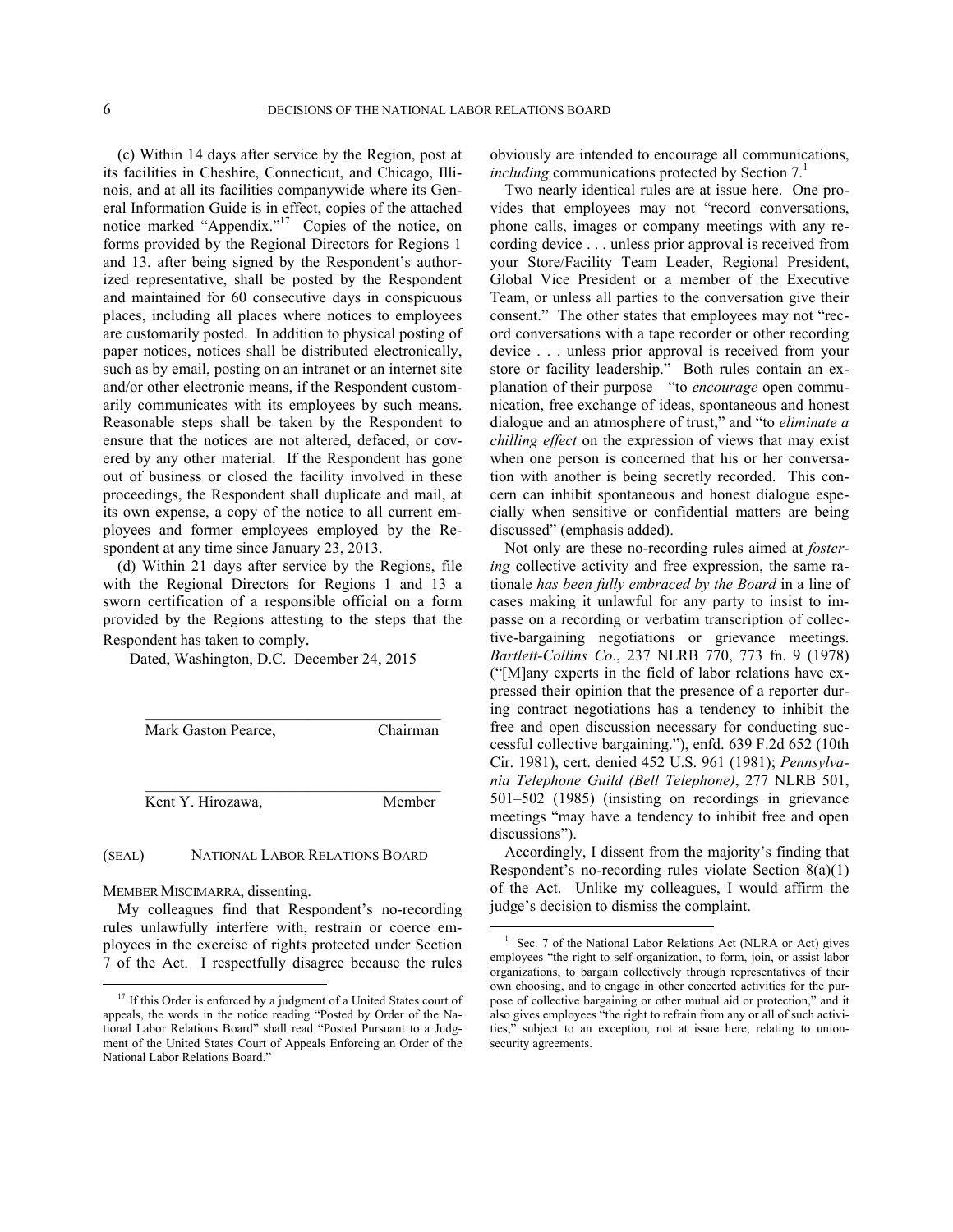(c) Within 14 days after service by the Region, post at its facilities in Cheshire, Connecticut, and Chicago, Illinois, and at all its facilities companywide where its General Information Guide is in effect, copies of the attached notice marked "Appendix."<sup>[17](#page-5-0)</sup> Copies of the notice, on forms provided by the Regional Directors for Regions 1 and 13, after being signed by the Respondent's authorized representative, shall be posted by the Respondent and maintained for 60 consecutive days in conspicuous places, including all places where notices to employees are customarily posted. In addition to physical posting of paper notices, notices shall be distributed electronically, such as by email, posting on an intranet or an internet site and/or other electronic means, if the Respondent customarily communicates with its employees by such means. Reasonable steps shall be taken by the Respondent to ensure that the notices are not altered, defaced, or covered by any other material. If the Respondent has gone out of business or closed the facility involved in these proceedings, the Respondent shall duplicate and mail, at its own expense, a copy of the notice to all current employees and former employees employed by the Respondent at any time since January 23, 2013.

(d) Within 21 days after service by the Regions, file with the Regional Directors for Regions 1 and 13 a sworn certification of a responsible official on a form provided by the Regions attesting to the steps that the Respondent has taken to comply.

Dated, Washington, D.C. December 24, 2015

 $\mathcal{L}_\text{max}$  , and the set of the set of the set of the set of the set of the set of the set of the set of the set of the set of the set of the set of the set of the set of the set of the set of the set of the set of the Mark Gaston Pearce, Chairman \_\_\_\_\_\_\_\_\_\_\_\_\_\_\_\_\_\_\_\_\_\_\_\_\_\_\_\_\_\_\_\_\_\_\_\_\_\_ Kent Y. Hirozawa, Member

## (SEAL) NATIONAL LABOR RELATIONS BOARD

MEMBER MISCIMARRA, dissenting.

1

<span id="page-5-1"></span>My colleagues find that Respondent's no-recording rules unlawfully interfere with, restrain or coerce employees in the exercise of rights protected under Section 7 of the Act. I respectfully disagree because the rules obviously are intended to encourage all communications, *including* communications protected by Section 7.<sup>[1](#page-5-1)</sup>

Two nearly identical rules are at issue here. One provides that employees may not "record conversations, phone calls, images or company meetings with any recording device . . . unless prior approval is received from your Store/Facility Team Leader, Regional President, Global Vice President or a member of the Executive Team, or unless all parties to the conversation give their consent." The other states that employees may not "record conversations with a tape recorder or other recording device . . . unless prior approval is received from your store or facility leadership." Both rules contain an explanation of their purpose—"to *encourage* open communication, free exchange of ideas, spontaneous and honest dialogue and an atmosphere of trust," and "to *eliminate a chilling effect* on the expression of views that may exist when one person is concerned that his or her conversation with another is being secretly recorded. This concern can inhibit spontaneous and honest dialogue especially when sensitive or confidential matters are being discussed" (emphasis added).

Not only are these no-recording rules aimed at *fostering* collective activity and free expression, the same rationale *has been fully embraced by the Board* in a line of cases making it unlawful for any party to insist to impasse on a recording or verbatim transcription of collective-bargaining negotiations or grievance meetings. *Bartlett-Collins Co*., 237 NLRB 770, 773 fn. 9 (1978) ("[M]any experts in the field of labor relations have expressed their opinion that the presence of a reporter during contract negotiations has a tendency to inhibit the free and open discussion necessary for conducting successful collective bargaining."), enfd. 639 F.2d 652 (10th Cir. 1981), cert. denied 452 U.S. 961 (1981); *Pennsylvania Telephone Guild (Bell Telephone)*, 277 NLRB 501, 501–502 (1985) (insisting on recordings in grievance meetings "may have a tendency to inhibit free and open discussions").

Accordingly, I dissent from the majority's finding that Respondent's no-recording rules violate Section 8(a)(1) of the Act. Unlike my colleagues, I would affirm the judge's decision to dismiss the complaint.

 $\overline{a}$ 

<span id="page-5-0"></span><sup>&</sup>lt;sup>17</sup> If this Order is enforced by a judgment of a United States court of appeals, the words in the notice reading "Posted by Order of the National Labor Relations Board" shall read "Posted Pursuant to a Judgment of the United States Court of Appeals Enforcing an Order of the National Labor Relations Board."

<sup>&</sup>lt;sup>1</sup> Sec. 7 of the National Labor Relations Act (NLRA or Act) gives employees "the right to self-organization, to form, join, or assist labor organizations, to bargain collectively through representatives of their own choosing, and to engage in other concerted activities for the purpose of collective bargaining or other mutual aid or protection," and it also gives employees "the right to refrain from any or all of such activities," subject to an exception, not at issue here, relating to unionsecurity agreements.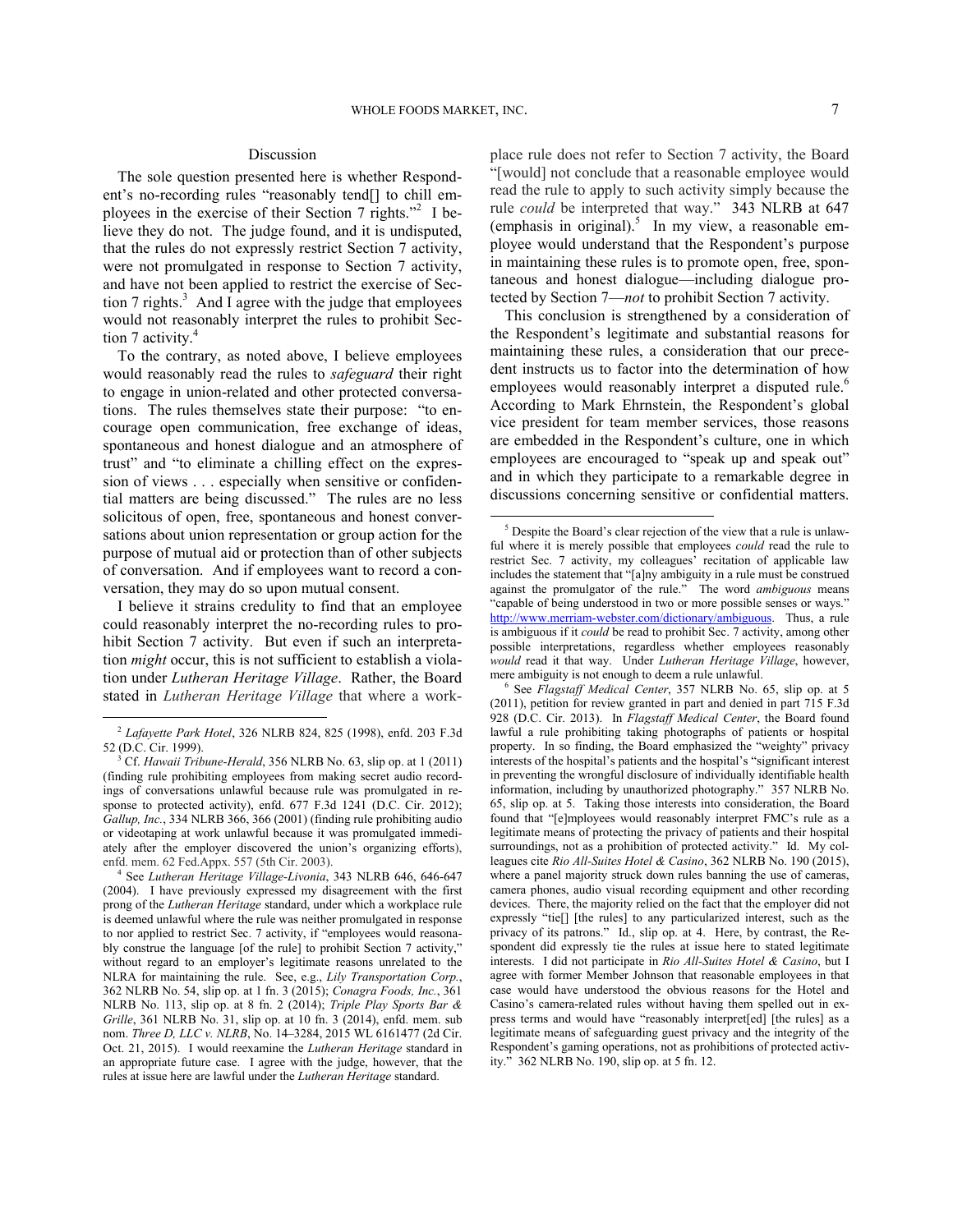$\overline{a}$ 

## Discussion

The sole question presented here is whether Respondent's no-recording rules "reasonably tend[] to chill em-ployees in the exercise of their Section 7 rights."<sup>[2](#page-6-0)</sup> I believe they do not. The judge found, and it is undisputed, that the rules do not expressly restrict Section 7 activity, were not promulgated in response to Section 7 activity, and have not been applied to restrict the exercise of Sec-tion 7 rights.<sup>[3](#page-6-1)</sup> And I agree with the judge that employees would not reasonably interpret the rules to prohibit Sec-tion 7 activity.<sup>[4](#page-6-2)</sup>

To the contrary, as noted above, I believe employees would reasonably read the rules to *safeguard* their right to engage in union-related and other protected conversations. The rules themselves state their purpose: "to encourage open communication, free exchange of ideas, spontaneous and honest dialogue and an atmosphere of trust" and "to eliminate a chilling effect on the expression of views . . . especially when sensitive or confidential matters are being discussed." The rules are no less solicitous of open, free, spontaneous and honest conversations about union representation or group action for the purpose of mutual aid or protection than of other subjects of conversation. And if employees want to record a conversation, they may do so upon mutual consent.

<span id="page-6-3"></span>I believe it strains credulity to find that an employee could reasonably interpret the no-recording rules to prohibit Section 7 activity. But even if such an interpretation *might* occur, this is not sufficient to establish a violation under *Lutheran Heritage Village*. Rather, the Board stated in *Lutheran Heritage Village* that where a work-

<span id="page-6-4"></span>1

place rule does not refer to Section 7 activity, the Board "[would] not conclude that a reasonable employee would read the rule to apply to such activity simply because the rule *could* be interpreted that way." 343 NLRB at 647 (emphasis in original).<sup>[5](#page-6-3)</sup> In my view, a reasonable employee would understand that the Respondent's purpose in maintaining these rules is to promote open, free, spontaneous and honest dialogue—including dialogue protected by Section 7—*not* to prohibit Section 7 activity.

This conclusion is strengthened by a consideration of the Respondent's legitimate and substantial reasons for maintaining these rules, a consideration that our precedent instructs us to factor into the determination of how employees would reasonably interpret a disputed rule.<sup>[6](#page-6-4)</sup> According to Mark Ehrnstein, the Respondent's global vice president for team member services, those reasons are embedded in the Respondent's culture, one in which employees are encouraged to "speak up and speak out" and in which they participate to a remarkable degree in discussions concerning sensitive or confidential matters.

<span id="page-6-0"></span><sup>2</sup> *Lafayette Park Hotel*, 326 NLRB 824, 825 (1998), enfd. 203 F.3d 52 (D.C. Cir. 1999).

<span id="page-6-1"></span><sup>3</sup> Cf. *Hawaii Tribune-Herald*, 356 NLRB No. 63, slip op. at 1 (2011) (finding rule prohibiting employees from making secret audio recordings of conversations unlawful because rule was promulgated in response to protected activity), enfd. 677 F.3d 1241 (D.C. Cir. 2012); *Gallup, Inc.*, 334 NLRB 366, 366 (2001) (finding rule prohibiting audio or videotaping at work unlawful because it was promulgated immediately after the employer discovered the union's organizing efforts), enfd. mem. 62 Fed.Appx. 557 (5th Cir. 2003).

<span id="page-6-2"></span><sup>4</sup> See *Lutheran Heritage Village-Livonia*, 343 NLRB 646, 646-647 (2004). I have previously expressed my disagreement with the first prong of the *Lutheran Heritage* standard, under which a workplace rule is deemed unlawful where the rule was neither promulgated in response to nor applied to restrict Sec. 7 activity, if "employees would reasonably construe the language [of the rule] to prohibit Section 7 activity," without regard to an employer's legitimate reasons unrelated to the NLRA for maintaining the rule. See, e.g., *Lily Transportation Corp.*, 362 NLRB No. 54, slip op. at 1 fn. 3 (2015); *Conagra Foods, Inc.*, 361 NLRB No. 113, slip op. at 8 fn. 2 (2014); *Triple Play Sports Bar & Grille*, 361 NLRB No. 31, slip op. at 10 fn. 3 (2014), enfd. mem. sub nom. *Three D, LLC v. NLRB*, No. 14–3284, 2015 WL 6161477 (2d Cir. Oct. 21, 2015). I would reexamine the *Lutheran Heritage* standard in an appropriate future case. I agree with the judge, however, that the rules at issue here are lawful under the *Lutheran Heritage* standard.

<sup>&</sup>lt;sup>5</sup> Despite the Board's clear rejection of the view that a rule is unlawful where it is merely possible that employees *could* read the rule to restrict Sec. 7 activity, my colleagues' recitation of applicable law includes the statement that "[a]ny ambiguity in a rule must be construed against the promulgator of the rule." The word *ambiguous* means "capable of being understood in two or more possible senses or ways." [http://www.merriam-webster.com/dictionary/ambiguous.](http://www.merriam-webster.com/dictionary/ambiguous) Thus, a rule is ambiguous if it *could* be read to prohibit Sec. 7 activity, among other possible interpretations, regardless whether employees reasonably *would* read it that way. Under *Lutheran Heritage Village*, however, mere ambiguity is not enough to deem a rule unlawful.

<sup>6</sup> See *Flagstaff Medical Center*, 357 NLRB No. 65, slip op. at 5 (2011), petition for review granted in part and denied in part 715 F.3d 928 (D.C. Cir. 2013). In *Flagstaff Medical Center*, the Board found lawful a rule prohibiting taking photographs of patients or hospital property. In so finding, the Board emphasized the "weighty" privacy interests of the hospital's patients and the hospital's "significant interest in preventing the wrongful disclosure of individually identifiable health information, including by unauthorized photography." 357 NLRB No. 65, slip op. at 5. Taking those interests into consideration, the Board found that "[e]mployees would reasonably interpret FMC's rule as a legitimate means of protecting the privacy of patients and their hospital surroundings, not as a prohibition of protected activity." Id. My colleagues cite *Rio All-Suites Hotel & Casino*, 362 NLRB No. 190 (2015), where a panel majority struck down rules banning the use of cameras, camera phones, audio visual recording equipment and other recording devices. There, the majority relied on the fact that the employer did not expressly "tie[] [the rules] to any particularized interest, such as the privacy of its patrons." Id., slip op. at 4. Here, by contrast, the Respondent did expressly tie the rules at issue here to stated legitimate interests. I did not participate in *Rio All-Suites Hotel & Casino*, but I agree with former Member Johnson that reasonable employees in that case would have understood the obvious reasons for the Hotel and Casino's camera-related rules without having them spelled out in express terms and would have "reasonably interpret[ed] [the rules] as a legitimate means of safeguarding guest privacy and the integrity of the Respondent's gaming operations, not as prohibitions of protected activity." 362 NLRB No. 190, slip op. at 5 fn. 12.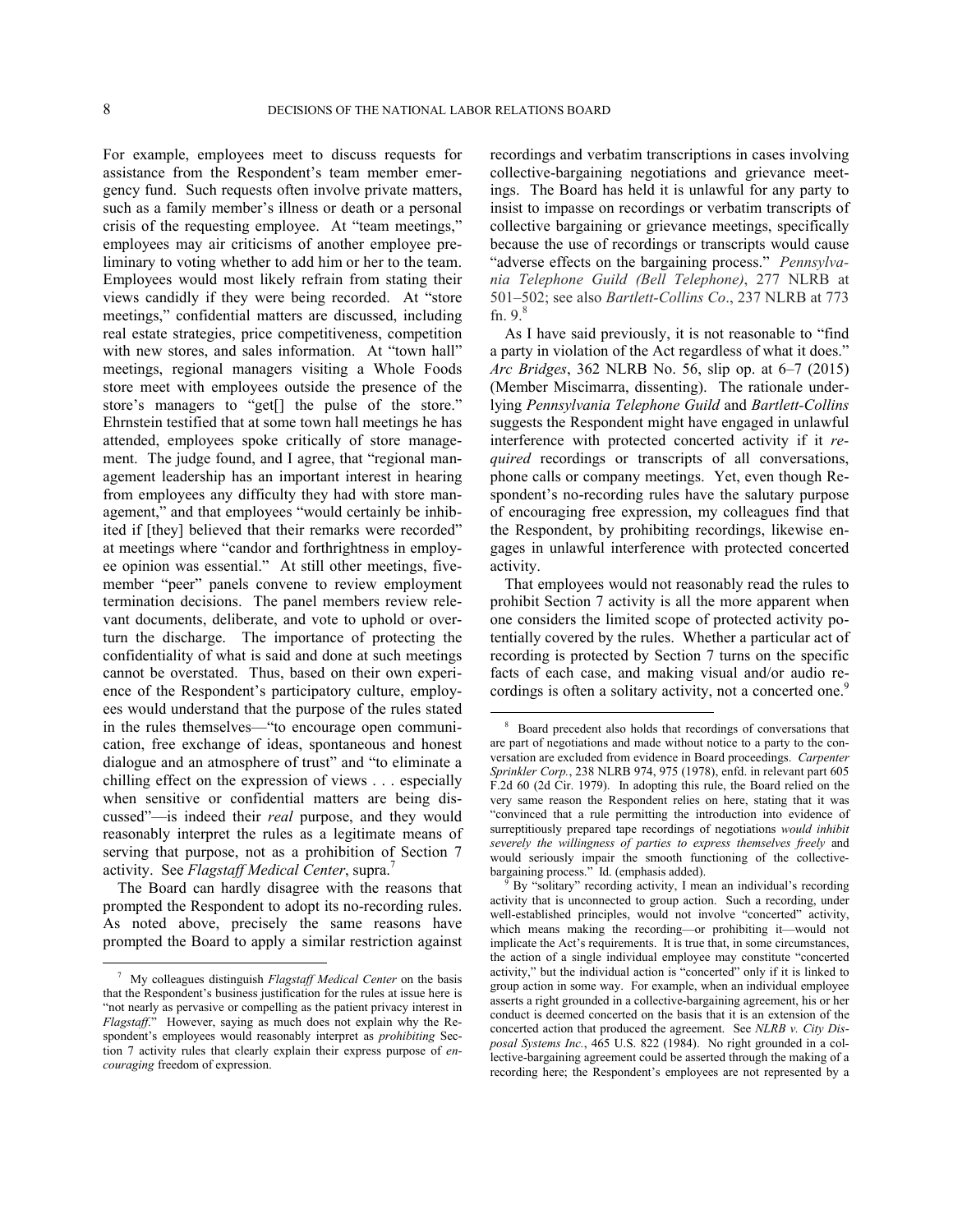1

 $\overline{a}$ 

For example, employees meet to discuss requests for assistance from the Respondent's team member emergency fund. Such requests often involve private matters, such as a family member's illness or death or a personal crisis of the requesting employee. At "team meetings," employees may air criticisms of another employee preliminary to voting whether to add him or her to the team. Employees would most likely refrain from stating their views candidly if they were being recorded. At "store meetings," confidential matters are discussed, including real estate strategies, price competitiveness, competition with new stores, and sales information. At "town hall" meetings, regional managers visiting a Whole Foods store meet with employees outside the presence of the store's managers to "get[] the pulse of the store." Ehrnstein testified that at some town hall meetings he has attended, employees spoke critically of store management. The judge found, and I agree, that "regional management leadership has an important interest in hearing from employees any difficulty they had with store management," and that employees "would certainly be inhibited if [they] believed that their remarks were recorded" at meetings where "candor and forthrightness in employee opinion was essential." At still other meetings, fivemember "peer" panels convene to review employment termination decisions. The panel members review relevant documents, deliberate, and vote to uphold or overturn the discharge. The importance of protecting the confidentiality of what is said and done at such meetings cannot be overstated. Thus, based on their own experience of the Respondent's participatory culture, employees would understand that the purpose of the rules stated in the rules themselves—"to encourage open communication, free exchange of ideas, spontaneous and honest dialogue and an atmosphere of trust" and "to eliminate a chilling effect on the expression of views . . . especially when sensitive or confidential matters are being discussed"—is indeed their *real* purpose, and they would reasonably interpret the rules as a legitimate means of serving that purpose, not as a prohibition of Section 7 activity. See *Flagstaff Medical Center*, supra.[7](#page-7-0)

<span id="page-7-2"></span><span id="page-7-1"></span>The Board can hardly disagree with the reasons that prompted the Respondent to adopt its no-recording rules. As noted above, precisely the same reasons have prompted the Board to apply a similar restriction against

recordings and verbatim transcriptions in cases involving collective-bargaining negotiations and grievance meetings. The Board has held it is unlawful for any party to insist to impasse on recordings or verbatim transcripts of collective bargaining or grievance meetings, specifically because the use of recordings or transcripts would cause "adverse effects on the bargaining process." *Pennsylvania Telephone Guild (Bell Telephone)*, 277 NLRB at 501–502; see also *Bartlett-Collins Co*., 237 NLRB at 773 fn.  $9.8$  $9.8$ 

As I have said previously, it is not reasonable to "find a party in violation of the Act regardless of what it does." *Arc Bridges*, 362 NLRB No. 56, slip op. at 6–7 (2015) (Member Miscimarra, dissenting). The rationale underlying *Pennsylvania Telephone Guild* and *Bartlett-Collins* suggests the Respondent might have engaged in unlawful interference with protected concerted activity if it *required* recordings or transcripts of all conversations, phone calls or company meetings. Yet, even though Respondent's no-recording rules have the salutary purpose of encouraging free expression, my colleagues find that the Respondent, by prohibiting recordings, likewise engages in unlawful interference with protected concerted activity.

That employees would not reasonably read the rules to prohibit Section 7 activity is all the more apparent when one considers the limited scope of protected activity potentially covered by the rules. Whether a particular act of recording is protected by Section 7 turns on the specific facts of each case, and making visual and/or audio re-cordings is often a solitary activity, not a concerted one.<sup>[9](#page-7-2)</sup>

<span id="page-7-0"></span><sup>7</sup> My colleagues distinguish *Flagstaff Medical Center* on the basis that the Respondent's business justification for the rules at issue here is "not nearly as pervasive or compelling as the patient privacy interest in *Flagstaff*." However, saying as much does not explain why the Respondent's employees would reasonably interpret as *prohibiting* Section 7 activity rules that clearly explain their express purpose of *encouraging* freedom of expression.

<sup>8</sup> Board precedent also holds that recordings of conversations that are part of negotiations and made without notice to a party to the conversation are excluded from evidence in Board proceedings. *Carpenter Sprinkler Corp.*, 238 NLRB 974, 975 (1978), enfd. in relevant part 605 F.2d 60 (2d Cir. 1979). In adopting this rule, the Board relied on the very same reason the Respondent relies on here, stating that it was "convinced that a rule permitting the introduction into evidence of surreptitiously prepared tape recordings of negotiations *would inhibit severely the willingness of parties to express themselves freely* and would seriously impair the smooth functioning of the collectivebargaining process." Id. (emphasis added).

By "solitary" recording activity, I mean an individual's recording activity that is unconnected to group action. Such a recording, under well-established principles, would not involve "concerted" activity, which means making the recording—or prohibiting it—would not implicate the Act's requirements. It is true that, in some circumstances, the action of a single individual employee may constitute "concerted activity," but the individual action is "concerted" only if it is linked to group action in some way. For example, when an individual employee asserts a right grounded in a collective-bargaining agreement, his or her conduct is deemed concerted on the basis that it is an extension of the concerted action that produced the agreement. See *NLRB v. City Disposal Systems Inc.*, 465 U.S. 822 (1984). No right grounded in a collective-bargaining agreement could be asserted through the making of a recording here; the Respondent's employees are not represented by a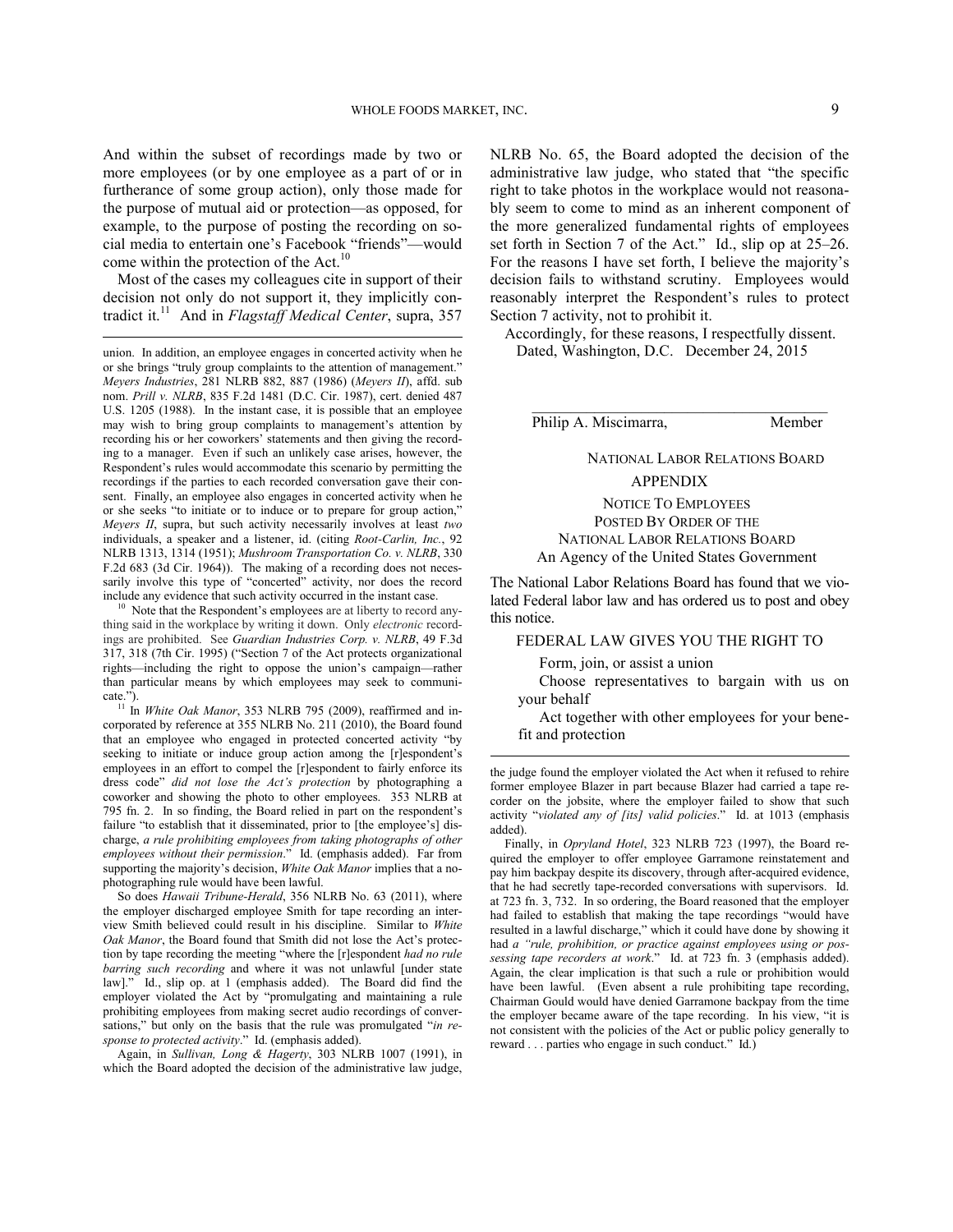And within the subset of recordings made by two or more employees (or by one employee as a part of or in furtherance of some group action), only those made for the purpose of mutual aid or protection—as opposed, for example, to the purpose of posting the recording on social media to entertain one's Facebook "friends"—would come within the protection of the Act. $^{10}$  $^{10}$  $^{10}$ 

Most of the cases my colleagues cite in support of their decision not only do not support it, they implicitly con-tradict it.<sup>[11](#page-8-1)</sup> And in *Flagstaff Medical Center*, supra, 357

 $\overline{a}$ 

<span id="page-8-0"></span>Note that the Respondent's employees are at liberty to record anything said in the workplace by writing it down. Only *electronic* recordings are prohibited. See *Guardian Industries Corp. v. NLRB*, 49 F.3d 317, 318 (7th Cir. 1995) ("Section 7 of the Act protects organizational rights—including the right to oppose the union's campaign—rather than particular means by which employees may seek to communicate.").

<span id="page-8-1"></span> $\frac{11}{11}$  In *White Oak Manor*, 353 NLRB 795 (2009), reaffirmed and incorporated by reference at 355 NLRB No. 211 (2010), the Board found that an employee who engaged in protected concerted activity "by seeking to initiate or induce group action among the [r]espondent's employees in an effort to compel the [r]espondent to fairly enforce its dress code" *did not lose the Act's protection* by photographing a coworker and showing the photo to other employees. 353 NLRB at 795 fn. 2. In so finding, the Board relied in part on the respondent's failure "to establish that it disseminated, prior to [the employee's] discharge, *a rule prohibiting employees from taking photographs of other employees without their permission*." Id. (emphasis added). Far from supporting the majority's decision, *White Oak Manor* implies that a nophotographing rule would have been lawful.

So does *Hawaii Tribune-Herald*, 356 NLRB No. 63 (2011), where the employer discharged employee Smith for tape recording an interview Smith believed could result in his discipline. Similar to *White Oak Manor*, the Board found that Smith did not lose the Act's protection by tape recording the meeting "where the [r]espondent *had no rule barring such recording* and where it was not unlawful [under state law]." Id., slip op. at 1 (emphasis added). The Board did find the employer violated the Act by "promulgating and maintaining a rule prohibiting employees from making secret audio recordings of conversations," but only on the basis that the rule was promulgated "*in response to protected activity*." Id. (emphasis added).

Again, in *Sullivan, Long & Hagerty*, 303 NLRB 1007 (1991), in which the Board adopted the decision of the administrative law judge,

NLRB No. 65, the Board adopted the decision of the administrative law judge, who stated that "the specific right to take photos in the workplace would not reasonably seem to come to mind as an inherent component of the more generalized fundamental rights of employees set forth in Section 7 of the Act." Id., slip op at 25–26. For the reasons I have set forth, I believe the majority's decision fails to withstand scrutiny. Employees would reasonably interpret the Respondent's rules to protect Section 7 activity, not to prohibit it.

Accordingly, for these reasons, I respectfully dissent. Dated, Washington, D.C. December 24, 2015

Philip A. Miscimarra, Member

NATIONAL LABOR RELATIONS BOARD

### APPENDIX

# NOTICE TO EMPLOYEES POSTED BY ORDER OF THE NATIONAL LABOR RELATIONS BOARD An Agency of the United States Government

The National Labor Relations Board has found that we violated Federal labor law and has ordered us to post and obey this notice.

# FEDERAL LAW GIVES YOU THE RIGHT TO

Form, join, or assist a union

 $\overline{a}$ 

Choose representatives to bargain with us on your behalf

Act together with other employees for your benefit and protection

the judge found the employer violated the Act when it refused to rehire former employee Blazer in part because Blazer had carried a tape recorder on the jobsite, where the employer failed to show that such activity "*violated any of [its] valid policies*." Id. at 1013 (emphasis added).

Finally, in *Opryland Hotel*, 323 NLRB 723 (1997), the Board required the employer to offer employee Garramone reinstatement and pay him backpay despite its discovery, through after-acquired evidence, that he had secretly tape-recorded conversations with supervisors. Id. at 723 fn. 3, 732. In so ordering, the Board reasoned that the employer had failed to establish that making the tape recordings "would have resulted in a lawful discharge," which it could have done by showing it had *a "rule, prohibition, or practice against employees using or possessing tape recorders at work*." Id. at 723 fn. 3 (emphasis added). Again, the clear implication is that such a rule or prohibition would have been lawful. (Even absent a rule prohibiting tape recording, Chairman Gould would have denied Garramone backpay from the time the employer became aware of the tape recording. In his view, "it is not consistent with the policies of the Act or public policy generally to reward . . . parties who engage in such conduct." Id.)

union. In addition, an employee engages in concerted activity when he or she brings "truly group complaints to the attention of management." *Meyers Industries*, 281 NLRB 882, 887 (1986) (*Meyers II*), affd. sub nom. *Prill v. NLRB*, 835 F.2d 1481 (D.C. Cir. 1987), cert. denied 487 U.S. 1205 (1988). In the instant case, it is possible that an employee may wish to bring group complaints to management's attention by recording his or her coworkers' statements and then giving the recording to a manager. Even if such an unlikely case arises, however, the Respondent's rules would accommodate this scenario by permitting the recordings if the parties to each recorded conversation gave their consent. Finally, an employee also engages in concerted activity when he or she seeks "to initiate or to induce or to prepare for group action," *Meyers II*, supra, but such activity necessarily involves at least *two* individuals, a speaker and a listener, id. (citing *Root-Carlin, Inc.*, 92 NLRB 1313, 1314 (1951); *Mushroom Transportation Co. v. NLRB*, 330 F.2d 683 (3d Cir. 1964)). The making of a recording does not necessarily involve this type of "concerted" activity, nor does the record include any evidence that such activity occurred in the instant case.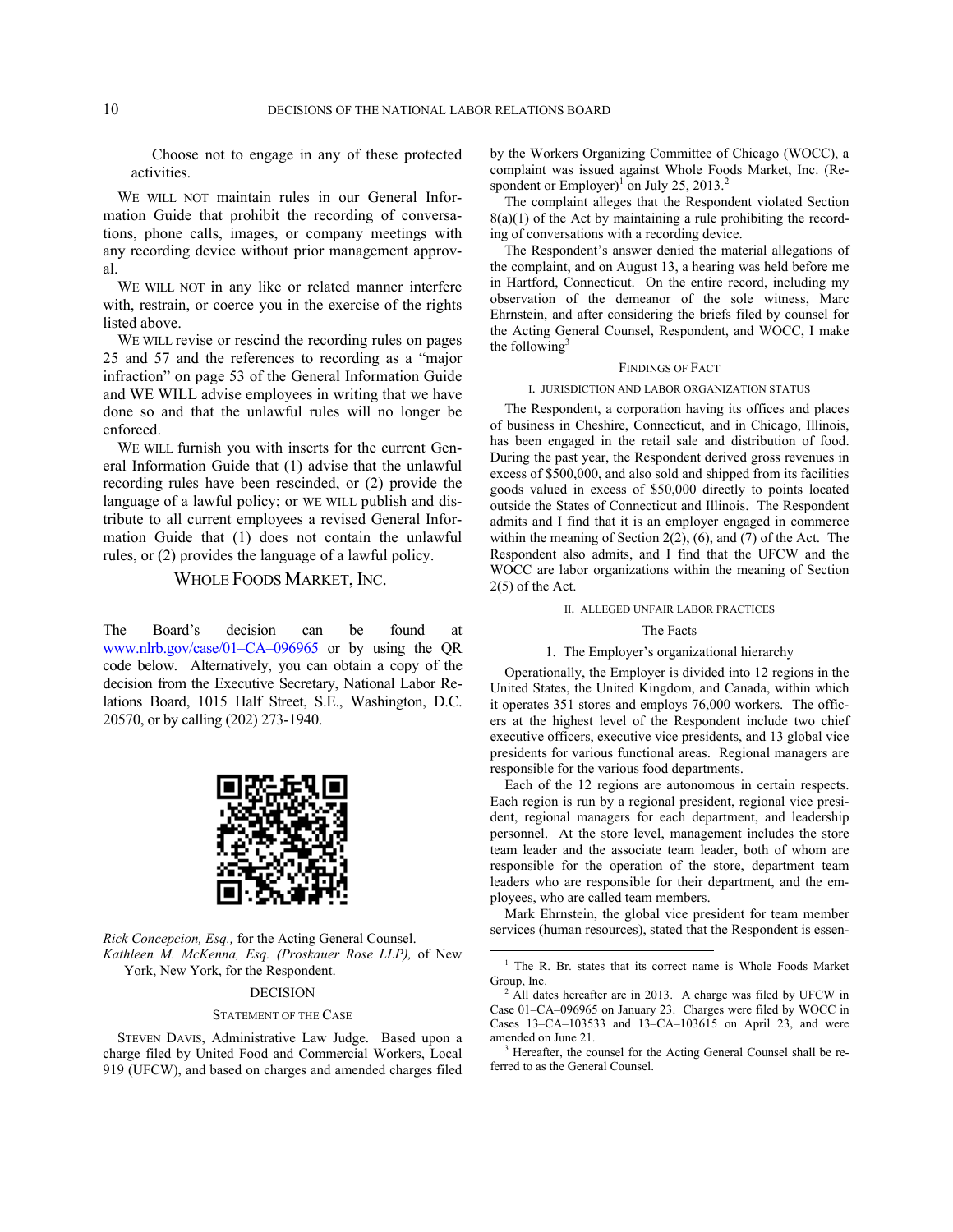Choose not to engage in any of these protected activities.

WE WILL NOT maintain rules in our General Information Guide that prohibit the recording of conversations, phone calls, images, or company meetings with any recording device without prior management approval.

WE WILL NOT in any like or related manner interfere with, restrain, or coerce you in the exercise of the rights listed above.

WE WILL revise or rescind the recording rules on pages 25 and 57 and the references to recording as a "major infraction" on page 53 of the General Information Guide and WE WILL advise employees in writing that we have done so and that the unlawful rules will no longer be enforced.

WE WILL furnish you with inserts for the current General Information Guide that (1) advise that the unlawful recording rules have been rescinded, or (2) provide the language of a lawful policy; or WE WILL publish and distribute to all current employees a revised General Information Guide that (1) does not contain the unlawful rules, or (2) provides the language of a lawful policy.

## WHOLE FOODS MARKET, INC.

The Board's decision can be found at [www.nlrb.gov/case/01–CA–096965](http://www.nlrb.gov/case/01�.?CA�.?096965) or by using the QR code below. Alternatively, you can obtain a copy of the decision from the Executive Secretary, National Labor Relations Board, 1015 Half Street, S.E., Washington, D.C. 20570, or by calling (202) 273-1940.



<span id="page-9-0"></span>*Rick Concepcion, Esq.,* for the Acting General Counsel. *Kathleen M. McKenna, Esq. (Proskauer Rose LLP),* of New York, New York, for the Respondent.

### DECISION

#### STATEMENT OF THE CASE

<span id="page-9-2"></span><span id="page-9-1"></span>STEVEN DAVIS, Administrative Law Judge. Based upon a charge filed by United Food and Commercial Workers, Local 919 (UFCW), and based on charges and amended charges filed by the Workers Organizing Committee of Chicago (WOCC), a complaint was issued against Whole Foods Market, Inc. (Re-spondent or Employer)<sup>[1](#page-9-0)</sup> on July [2](#page-9-1)5, 2013.<sup>2</sup>

The complaint alleges that the Respondent violated Section  $8(a)(1)$  of the Act by maintaining a rule prohibiting the recording of conversations with a recording device.

The Respondent's answer denied the material allegations of the complaint, and on August 13, a hearing was held before me in Hartford, Connecticut. On the entire record, including my observation of the demeanor of the sole witness, Marc Ehrnstein, and after considering the briefs filed by counsel for the Acting General Counsel, Respondent, and WOCC, I make the following $3$ 

### FINDINGS OF FACT

#### I. JURISDICTION AND LABOR ORGANIZATION STATUS

The Respondent, a corporation having its offices and places of business in Cheshire, Connecticut, and in Chicago, Illinois, has been engaged in the retail sale and distribution of food. During the past year, the Respondent derived gross revenues in excess of \$500,000, and also sold and shipped from its facilities goods valued in excess of \$50,000 directly to points located outside the States of Connecticut and Illinois. The Respondent admits and I find that it is an employer engaged in commerce within the meaning of Section 2(2), (6), and (7) of the Act. The Respondent also admits, and I find that the UFCW and the WOCC are labor organizations within the meaning of Section 2(5) of the Act.

### II. ALLEGED UNFAIR LABOR PRACTICES

### The Facts

### 1. The Employer's organizational hierarchy

Operationally, the Employer is divided into 12 regions in the United States, the United Kingdom, and Canada, within which it operates 351 stores and employs 76,000 workers. The officers at the highest level of the Respondent include two chief executive officers, executive vice presidents, and 13 global vice presidents for various functional areas. Regional managers are responsible for the various food departments.

Each of the 12 regions are autonomous in certain respects. Each region is run by a regional president, regional vice president, regional managers for each department, and leadership personnel. At the store level, management includes the store team leader and the associate team leader, both of whom are responsible for the operation of the store, department team leaders who are responsible for their department, and the employees, who are called team members.

Mark Ehrnstein, the global vice president for team member services (human resources), stated that the Respondent is essen-

 $\overline{a}$ 

<sup>&</sup>lt;sup>1</sup> The R. Br. states that its correct name is Whole Foods Market Group, Inc.

 $2$  All dates hereafter are in 2013. A charge was filed by UFCW in Case 01–CA–096965 on January 23. Charges were filed by WOCC in Cases 13–CA–103533 and 13–CA–103615 on April 23, and were amended on June 21.

Hereafter, the counsel for the Acting General Counsel shall be referred to as the General Counsel.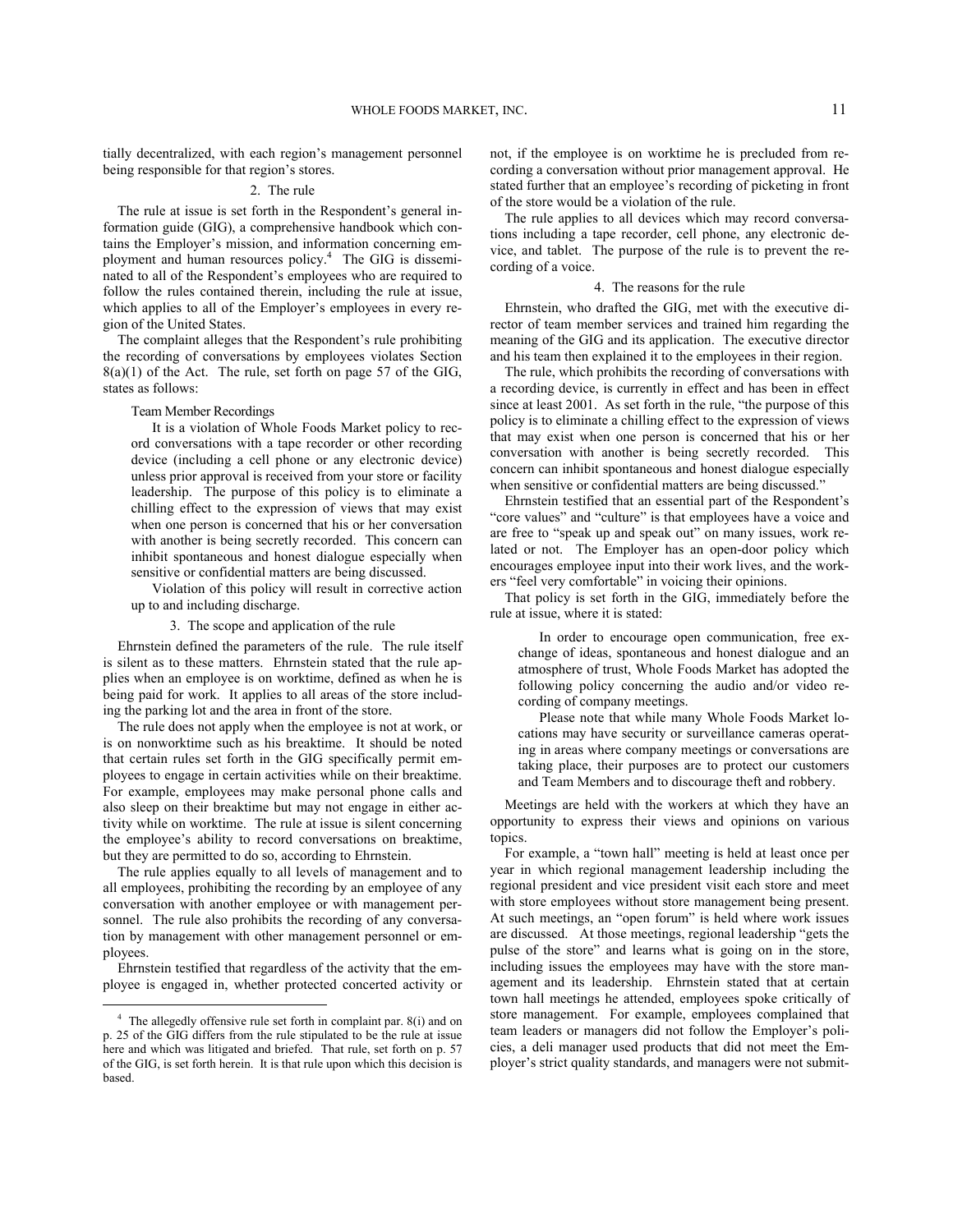tially decentralized, with each region's management personnel being responsible for that region's stores.

## 2. The rule

The rule at issue is set forth in the Respondent's general information guide (GIG), a comprehensive handbook which contains the Employer's mission, and information concerning employment and human resources policy.[4](#page-10-0) The GIG is disseminated to all of the Respondent's employees who are required to follow the rules contained therein, including the rule at issue, which applies to all of the Employer's employees in every region of the United States.

The complaint alleges that the Respondent's rule prohibiting the recording of conversations by employees violates Section 8(a)(1) of the Act. The rule, set forth on page 57 of the GIG, states as follows:

Team Member Recordings

It is a violation of Whole Foods Market policy to record conversations with a tape recorder or other recording device (including a cell phone or any electronic device) unless prior approval is received from your store or facility leadership. The purpose of this policy is to eliminate a chilling effect to the expression of views that may exist when one person is concerned that his or her conversation with another is being secretly recorded. This concern can inhibit spontaneous and honest dialogue especially when sensitive or confidential matters are being discussed.

Violation of this policy will result in corrective action up to and including discharge.

3. The scope and application of the rule

Ehrnstein defined the parameters of the rule. The rule itself is silent as to these matters. Ehrnstein stated that the rule applies when an employee is on worktime, defined as when he is being paid for work. It applies to all areas of the store including the parking lot and the area in front of the store.

The rule does not apply when the employee is not at work, or is on nonworktime such as his breaktime. It should be noted that certain rules set forth in the GIG specifically permit employees to engage in certain activities while on their breaktime. For example, employees may make personal phone calls and also sleep on their breaktime but may not engage in either activity while on worktime. The rule at issue is silent concerning the employee's ability to record conversations on breaktime, but they are permitted to do so, according to Ehrnstein.

The rule applies equally to all levels of management and to all employees, prohibiting the recording by an employee of any conversation with another employee or with management personnel. The rule also prohibits the recording of any conversation by management with other management personnel or employees.

Ehrnstein testified that regardless of the activity that the employee is engaged in, whether protected concerted activity or

1

not, if the employee is on worktime he is precluded from recording a conversation without prior management approval. He stated further that an employee's recording of picketing in front of the store would be a violation of the rule.

The rule applies to all devices which may record conversations including a tape recorder, cell phone, any electronic device, and tablet. The purpose of the rule is to prevent the recording of a voice.

### 4. The reasons for the rule

Ehrnstein, who drafted the GIG, met with the executive director of team member services and trained him regarding the meaning of the GIG and its application. The executive director and his team then explained it to the employees in their region.

The rule, which prohibits the recording of conversations with a recording device, is currently in effect and has been in effect since at least 2001. As set forth in the rule, "the purpose of this policy is to eliminate a chilling effect to the expression of views that may exist when one person is concerned that his or her conversation with another is being secretly recorded. This concern can inhibit spontaneous and honest dialogue especially when sensitive or confidential matters are being discussed."

Ehrnstein testified that an essential part of the Respondent's "core values" and "culture" is that employees have a voice and are free to "speak up and speak out" on many issues, work related or not. The Employer has an open-door policy which encourages employee input into their work lives, and the workers "feel very comfortable" in voicing their opinions.

That policy is set forth in the GIG, immediately before the rule at issue, where it is stated:

In order to encourage open communication, free exchange of ideas, spontaneous and honest dialogue and an atmosphere of trust, Whole Foods Market has adopted the following policy concerning the audio and/or video recording of company meetings.

Please note that while many Whole Foods Market locations may have security or surveillance cameras operating in areas where company meetings or conversations are taking place, their purposes are to protect our customers and Team Members and to discourage theft and robbery.

Meetings are held with the workers at which they have an opportunity to express their views and opinions on various topics.

For example, a "town hall" meeting is held at least once per year in which regional management leadership including the regional president and vice president visit each store and meet with store employees without store management being present. At such meetings, an "open forum" is held where work issues are discussed. At those meetings, regional leadership "gets the pulse of the store" and learns what is going on in the store, including issues the employees may have with the store management and its leadership. Ehrnstein stated that at certain town hall meetings he attended, employees spoke critically of store management. For example, employees complained that team leaders or managers did not follow the Employer's policies, a deli manager used products that did not meet the Employer's strict quality standards, and managers were not submit-

<span id="page-10-0"></span><sup>4</sup> The allegedly offensive rule set forth in complaint par. 8(i) and on p. 25 of the GIG differs from the rule stipulated to be the rule at issue here and which was litigated and briefed. That rule, set forth on p. 57 of the GIG, is set forth herein. It is that rule upon which this decision is based.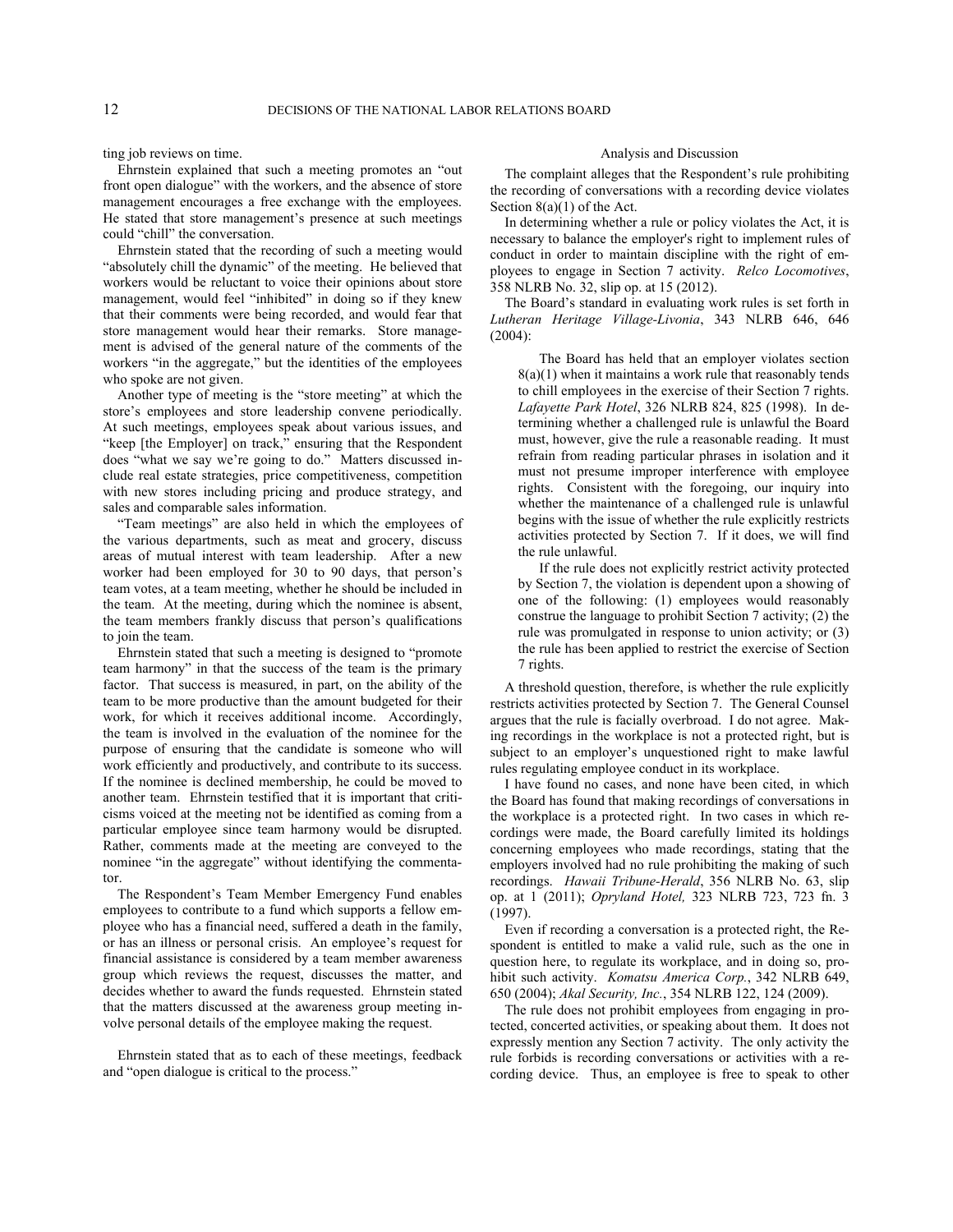ting job reviews on time.

Ehrnstein explained that such a meeting promotes an "out front open dialogue" with the workers, and the absence of store management encourages a free exchange with the employees. He stated that store management's presence at such meetings could "chill" the conversation.

Ehrnstein stated that the recording of such a meeting would "absolutely chill the dynamic" of the meeting. He believed that workers would be reluctant to voice their opinions about store management, would feel "inhibited" in doing so if they knew that their comments were being recorded, and would fear that store management would hear their remarks. Store management is advised of the general nature of the comments of the workers "in the aggregate," but the identities of the employees who spoke are not given.

Another type of meeting is the "store meeting" at which the store's employees and store leadership convene periodically. At such meetings, employees speak about various issues, and "keep [the Employer] on track," ensuring that the Respondent does "what we say we're going to do." Matters discussed include real estate strategies, price competitiveness, competition with new stores including pricing and produce strategy, and sales and comparable sales information.

"Team meetings" are also held in which the employees of the various departments, such as meat and grocery, discuss areas of mutual interest with team leadership. After a new worker had been employed for 30 to 90 days, that person's team votes, at a team meeting, whether he should be included in the team. At the meeting, during which the nominee is absent, the team members frankly discuss that person's qualifications to join the team.

Ehrnstein stated that such a meeting is designed to "promote team harmony" in that the success of the team is the primary factor. That success is measured, in part, on the ability of the team to be more productive than the amount budgeted for their work, for which it receives additional income. Accordingly, the team is involved in the evaluation of the nominee for the purpose of ensuring that the candidate is someone who will work efficiently and productively, and contribute to its success. If the nominee is declined membership, he could be moved to another team. Ehrnstein testified that it is important that criticisms voiced at the meeting not be identified as coming from a particular employee since team harmony would be disrupted. Rather, comments made at the meeting are conveyed to the nominee "in the aggregate" without identifying the commentator.

The Respondent's Team Member Emergency Fund enables employees to contribute to a fund which supports a fellow employee who has a financial need, suffered a death in the family, or has an illness or personal crisis. An employee's request for financial assistance is considered by a team member awareness group which reviews the request, discusses the matter, and decides whether to award the funds requested. Ehrnstein stated that the matters discussed at the awareness group meeting involve personal details of the employee making the request.

Ehrnstein stated that as to each of these meetings, feedback and "open dialogue is critical to the process."

### Analysis and Discussion

The complaint alleges that the Respondent's rule prohibiting the recording of conversations with a recording device violates Section 8(a)(1) of the Act.

In determining whether a rule or policy violates the Act, it is necessary to balance the employer's right to implement rules of conduct in order to maintain discipline with the right of employees to engage in Section 7 activity. *Relco Locomotives*, 358 NLRB No. 32, slip op. at 15 (2012).

The Board's standard in evaluating work rules is set forth in *Lutheran Heritage Village-Livonia*, 343 NLRB 646, 646 (2004):

The Board has held that an employer violates section  $8(a)(1)$  when it maintains a work rule that reasonably tends to chill employees in the exercise of their Section 7 rights. *Lafayette Park Hotel*, 326 NLRB 824, 825 (1998). In determining whether a challenged rule is unlawful the Board must, however, give the rule a reasonable reading. It must refrain from reading particular phrases in isolation and it must not presume improper interference with employee rights. Consistent with the foregoing, our inquiry into whether the maintenance of a challenged rule is unlawful begins with the issue of whether the rule explicitly restricts activities protected by Section 7. If it does, we will find the rule unlawful.

If the rule does not explicitly restrict activity protected by Section 7, the violation is dependent upon a showing of one of the following: (1) employees would reasonably construe the language to prohibit Section 7 activity; (2) the rule was promulgated in response to union activity; or (3) the rule has been applied to restrict the exercise of Section 7 rights.

A threshold question, therefore, is whether the rule explicitly restricts activities protected by Section 7. The General Counsel argues that the rule is facially overbroad. I do not agree. Making recordings in the workplace is not a protected right, but is subject to an employer's unquestioned right to make lawful rules regulating employee conduct in its workplace.

I have found no cases, and none have been cited, in which the Board has found that making recordings of conversations in the workplace is a protected right. In two cases in which recordings were made, the Board carefully limited its holdings concerning employees who made recordings, stating that the employers involved had no rule prohibiting the making of such recordings. *Hawaii Tribune-Herald*, 356 NLRB No. 63, slip op. at 1 (2011); *Opryland Hotel,* 323 NLRB 723, 723 fn. 3 (1997).

Even if recording a conversation is a protected right, the Respondent is entitled to make a valid rule, such as the one in question here, to regulate its workplace, and in doing so, prohibit such activity. *Komatsu America Corp.*, 342 NLRB 649, 650 (2004); *Akal Security, Inc.*, 354 NLRB 122, 124 (2009).

The rule does not prohibit employees from engaging in protected, concerted activities, or speaking about them. It does not expressly mention any Section 7 activity. The only activity the rule forbids is recording conversations or activities with a recording device. Thus, an employee is free to speak to other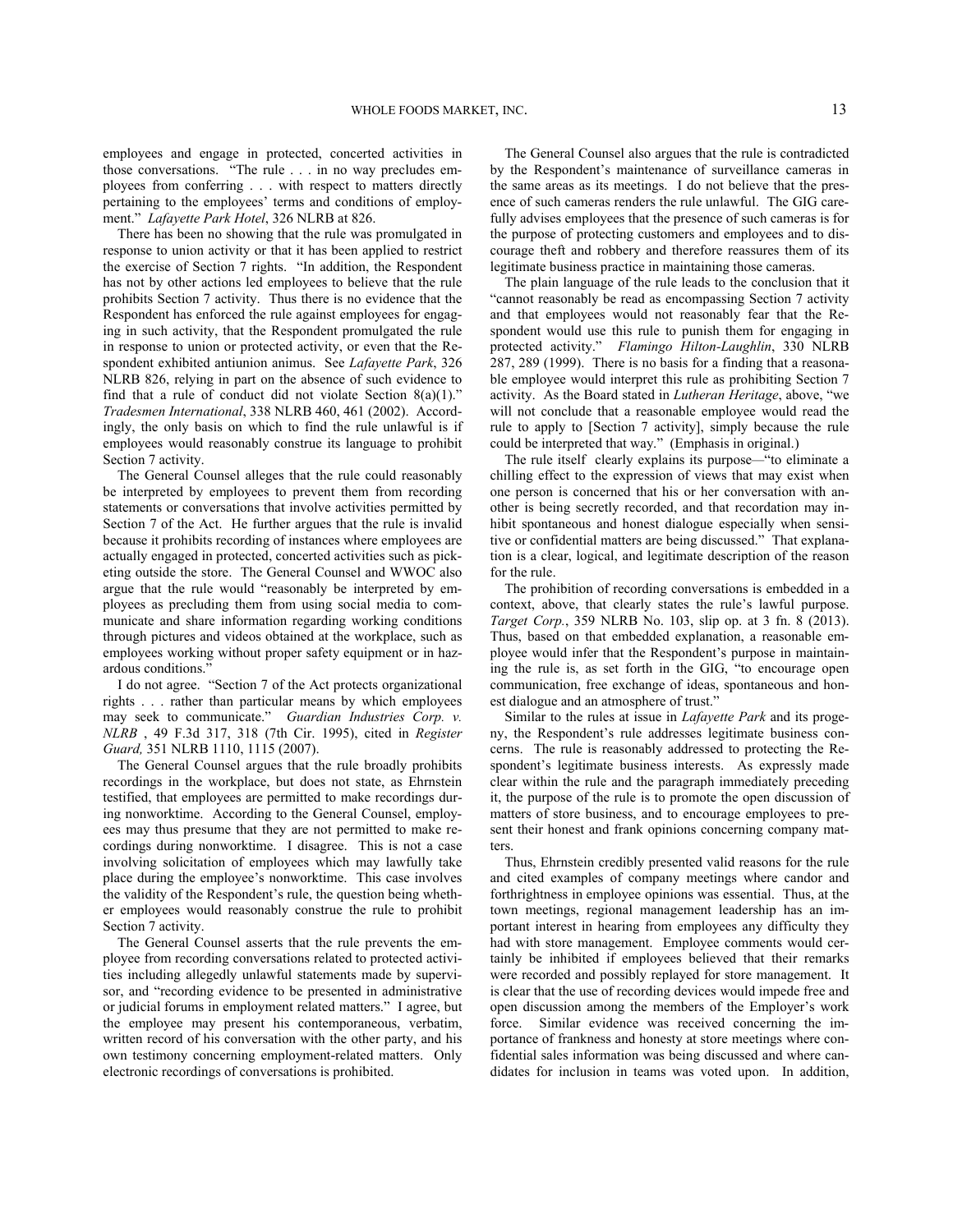employees and engage in protected, concerted activities in those conversations. "The rule . . . in no way precludes employees from conferring . . . with respect to matters directly pertaining to the employees' terms and conditions of employment." *Lafayette Park Hotel*, 326 NLRB at 826.

There has been no showing that the rule was promulgated in response to union activity or that it has been applied to restrict the exercise of Section 7 rights. "In addition, the Respondent has not by other actions led employees to believe that the rule prohibits Section 7 activity. Thus there is no evidence that the Respondent has enforced the rule against employees for engaging in such activity, that the Respondent promulgated the rule in response to union or protected activity, or even that the Respondent exhibited antiunion animus. See *Lafayette Park*, 326 NLRB 826, relying in part on the absence of such evidence to find that a rule of conduct did not violate Section  $8(a)(1)$ ." *Tradesmen International*, 338 NLRB 460, 461 (2002). Accordingly, the only basis on which to find the rule unlawful is if employees would reasonably construe its language to prohibit Section 7 activity.

The General Counsel alleges that the rule could reasonably be interpreted by employees to prevent them from recording statements or conversations that involve activities permitted by Section 7 of the Act. He further argues that the rule is invalid because it prohibits recording of instances where employees are actually engaged in protected, concerted activities such as picketing outside the store. The General Counsel and WWOC also argue that the rule would "reasonably be interpreted by employees as precluding them from using social media to communicate and share information regarding working conditions through pictures and videos obtained at the workplace, such as employees working without proper safety equipment or in hazardous conditions."

I do not agree. "Section 7 of the Act protects organizational rights . . . rather than particular means by which employees may seek to communicate." *Guardian Industries Corp. v. NLRB* , 49 F.3d 317, 318 (7th Cir. 1995), cited in *Register Guard,* 351 NLRB 1110, 1115 (2007).

The General Counsel argues that the rule broadly prohibits recordings in the workplace, but does not state, as Ehrnstein testified, that employees are permitted to make recordings during nonworktime. According to the General Counsel, employees may thus presume that they are not permitted to make recordings during nonworktime. I disagree. This is not a case involving solicitation of employees which may lawfully take place during the employee's nonworktime. This case involves the validity of the Respondent's rule, the question being whether employees would reasonably construe the rule to prohibit Section 7 activity.

The General Counsel asserts that the rule prevents the employee from recording conversations related to protected activities including allegedly unlawful statements made by supervisor, and "recording evidence to be presented in administrative or judicial forums in employment related matters." I agree, but the employee may present his contemporaneous, verbatim, written record of his conversation with the other party, and his own testimony concerning employment-related matters. Only electronic recordings of conversations is prohibited.

The General Counsel also argues that the rule is contradicted by the Respondent's maintenance of surveillance cameras in the same areas as its meetings. I do not believe that the presence of such cameras renders the rule unlawful. The GIG carefully advises employees that the presence of such cameras is for the purpose of protecting customers and employees and to discourage theft and robbery and therefore reassures them of its legitimate business practice in maintaining those cameras.

The plain language of the rule leads to the conclusion that it "cannot reasonably be read as encompassing Section 7 activity and that employees would not reasonably fear that the Respondent would use this rule to punish them for engaging in protected activity." *Flamingo Hilton-Laughlin*, 330 NLRB 287, 289 (1999). There is no basis for a finding that a reasonable employee would interpret this rule as prohibiting Section 7 activity. As the Board stated in *Lutheran Heritage*, above, "we will not conclude that a reasonable employee would read the rule to apply to [Section 7 activity], simply because the rule could be interpreted that way." (Emphasis in original.)

The rule itself clearly explains its purpose*—*"to eliminate a chilling effect to the expression of views that may exist when one person is concerned that his or her conversation with another is being secretly recorded, and that recordation may inhibit spontaneous and honest dialogue especially when sensitive or confidential matters are being discussed." That explanation is a clear, logical, and legitimate description of the reason for the rule.

The prohibition of recording conversations is embedded in a context, above, that clearly states the rule's lawful purpose. *Target Corp.*, 359 NLRB No. 103, slip op. at 3 fn. 8 (2013). Thus, based on that embedded explanation, a reasonable employee would infer that the Respondent's purpose in maintaining the rule is, as set forth in the GIG, "to encourage open communication, free exchange of ideas, spontaneous and honest dialogue and an atmosphere of trust."

Similar to the rules at issue in *Lafayette Park* and its progeny, the Respondent's rule addresses legitimate business concerns. The rule is reasonably addressed to protecting the Respondent's legitimate business interests. As expressly made clear within the rule and the paragraph immediately preceding it, the purpose of the rule is to promote the open discussion of matters of store business, and to encourage employees to present their honest and frank opinions concerning company matters.

Thus, Ehrnstein credibly presented valid reasons for the rule and cited examples of company meetings where candor and forthrightness in employee opinions was essential. Thus, at the town meetings, regional management leadership has an important interest in hearing from employees any difficulty they had with store management. Employee comments would certainly be inhibited if employees believed that their remarks were recorded and possibly replayed for store management. It is clear that the use of recording devices would impede free and open discussion among the members of the Employer's work force. Similar evidence was received concerning the importance of frankness and honesty at store meetings where confidential sales information was being discussed and where candidates for inclusion in teams was voted upon. In addition,